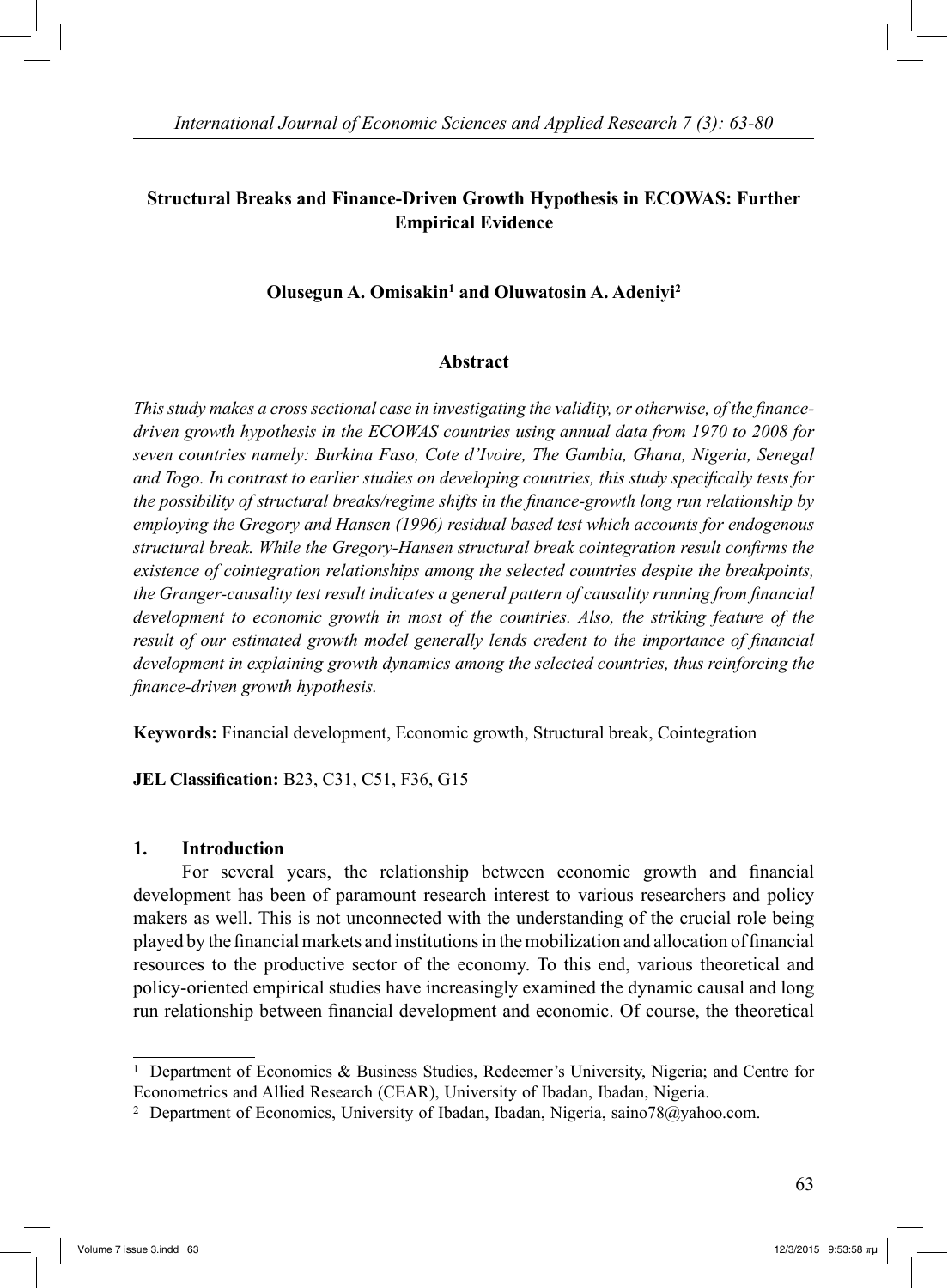# **Structural Breaks and Finance-Driven Growth Hypothesis in ECOWAS: Further Empirical Evidence**

# **Olusegun A. Omisakin<sup>1</sup> and Oluwatosin A. Adeniyi<sup>2</sup>**

## **Abstract**

*This study makes a cross sectional case in investigating the validity, or otherwise, of the financedriven growth hypothesis in the ECOWAS countries using annual data from 1970 to 2008 for seven countries namely: Burkina Faso, Cote d'Ivoire, The Gambia, Ghana, Nigeria, Senegal and Togo. In contrast to earlier studies on developing countries, this study specifically tests for the possibility of structural breaks/regime shifts in the finance-growth long run relationship by employing the Gregory and Hansen (1996) residual based test which accounts for endogenous structural break. While the Gregory-Hansen structural break cointegration result confirms the existence of cointegration relationships among the selected countries despite the breakpoints, the Granger-causality test result indicates a general pattern of causality running from financial development to economic growth in most of the countries. Also, the striking feature of the result of our estimated growth model generally lends credent to the importance of financial development in explaining growth dynamics among the selected countries, thus reinforcing the finance-driven growth hypothesis.*

**Keywords:** Financial development, Economic growth, Structural break, Cointegration

**JEL Classification:** B23, C31, C51, F36, G15

### **1. Introduction**

 For several years, the relationship between economic growth and financial development has been of paramount research interest to various researchers and policy makers as well. This is not unconnected with the understanding of the crucial role being played by the financial markets and institutions in the mobilization and allocation of financial resources to the productive sector of the economy. To this end, various theoretical and policy-oriented empirical studies have increasingly examined the dynamic causal and long run relationship between financial development and economic. Of course, the theoretical

<sup>1</sup> Department of Economics & Business Studies, Redeemer's University, Nigeria; and Centre for Econometrics and Allied Research (CEAR), University of Ibadan, Ibadan, Nigeria.

<sup>2</sup> Department of Economics, University of Ibadan, Ibadan, Nigeria, saino78@yahoo.com.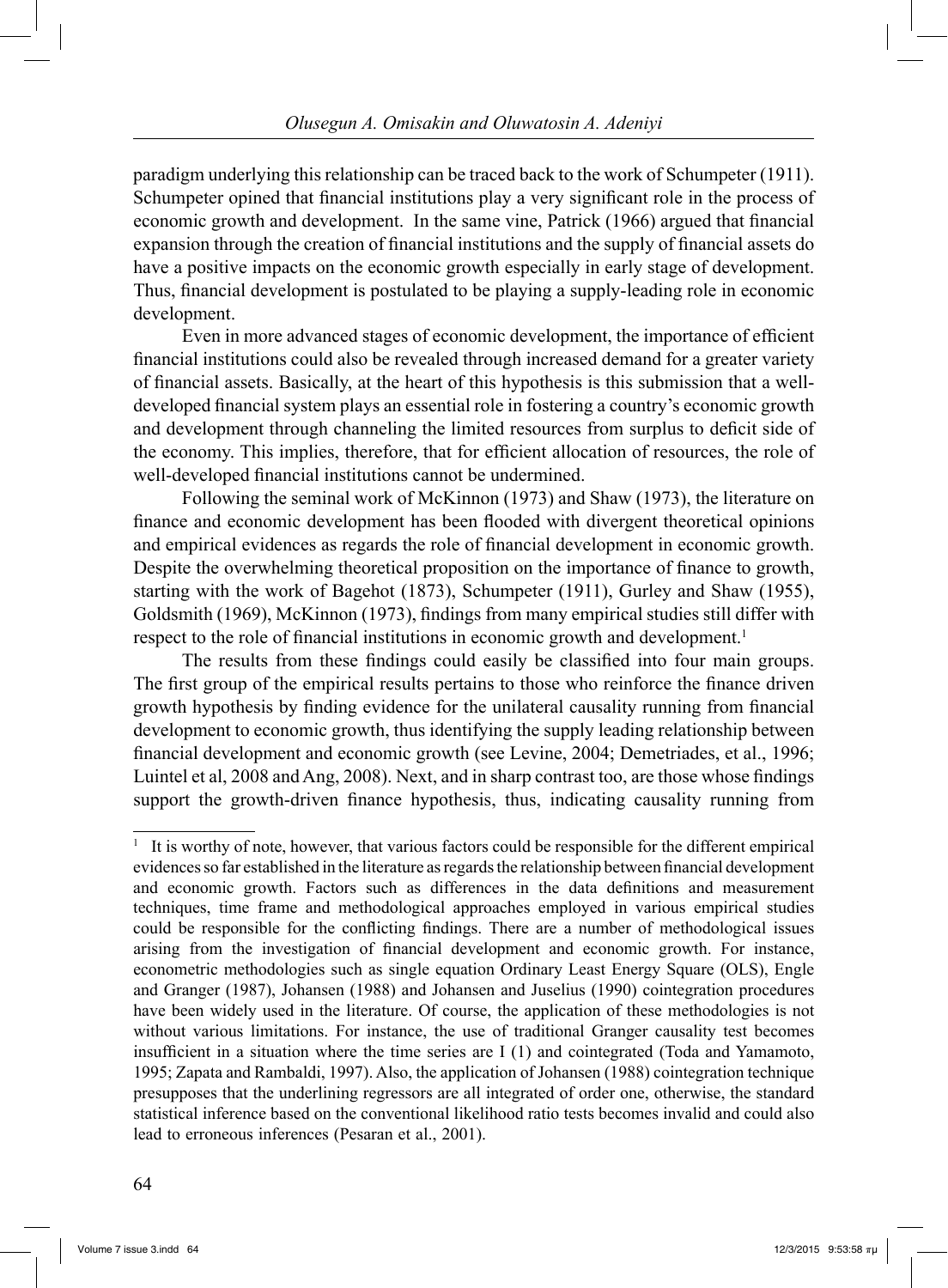paradigm underlying this relationship can be traced back to the work of Schumpeter (1911). Schumpeter opined that financial institutions play a very significant role in the process of economic growth and development. In the same vine, Patrick (1966) argued that financial expansion through the creation of financial institutions and the supply of financial assets do have a positive impacts on the economic growth especially in early stage of development. Thus, financial development is postulated to be playing a supply-leading role in economic development.

 Even in more advanced stages of economic development, the importance of efficient financial institutions could also be revealed through increased demand for a greater variety of financial assets. Basically, at the heart of this hypothesis is this submission that a welldeveloped financial system plays an essential role in fostering a country's economic growth and development through channeling the limited resources from surplus to deficit side of the economy. This implies, therefore, that for efficient allocation of resources, the role of well-developed financial institutions cannot be undermined.

 Following the seminal work of McKinnon (1973) and Shaw (1973), the literature on finance and economic development has been flooded with divergent theoretical opinions and empirical evidences as regards the role of financial development in economic growth. Despite the overwhelming theoretical proposition on the importance of finance to growth, starting with the work of Bagehot (1873), Schumpeter (1911), Gurley and Shaw (1955), Goldsmith (1969), McKinnon (1973), findings from many empirical studies still differ with respect to the role of financial institutions in economic growth and development.<sup>1</sup>

 The results from these findings could easily be classified into four main groups. The first group of the empirical results pertains to those who reinforce the finance driven growth hypothesis by finding evidence for the unilateral causality running from financial development to economic growth, thus identifying the supply leading relationship between financial development and economic growth (see Levine, 2004; Demetriades, et al., 1996; Luintel et al, 2008 and Ang, 2008). Next, and in sharp contrast too, are those whose findings support the growth-driven finance hypothesis, thus, indicating causality running from

<sup>&</sup>lt;sup>1</sup> It is worthy of note, however, that various factors could be responsible for the different empirical evidences so far established in the literature as regards the relationship between financial development and economic growth. Factors such as differences in the data definitions and measurement techniques, time frame and methodological approaches employed in various empirical studies could be responsible for the conflicting findings. There are a number of methodological issues arising from the investigation of financial development and economic growth. For instance, econometric methodologies such as single equation Ordinary Least Energy Square (OLS), Engle and Granger (1987), Johansen (1988) and Johansen and Juselius (1990) cointegration procedures have been widely used in the literature. Of course, the application of these methodologies is not without various limitations. For instance, the use of traditional Granger causality test becomes insufficient in a situation where the time series are I (1) and cointegrated (Toda and Yamamoto, 1995; Zapata and Rambaldi, 1997). Also, the application of Johansen (1988) cointegration technique presupposes that the underlining regressors are all integrated of order one, otherwise, the standard statistical inference based on the conventional likelihood ratio tests becomes invalid and could also lead to erroneous inferences (Pesaran et al., 2001).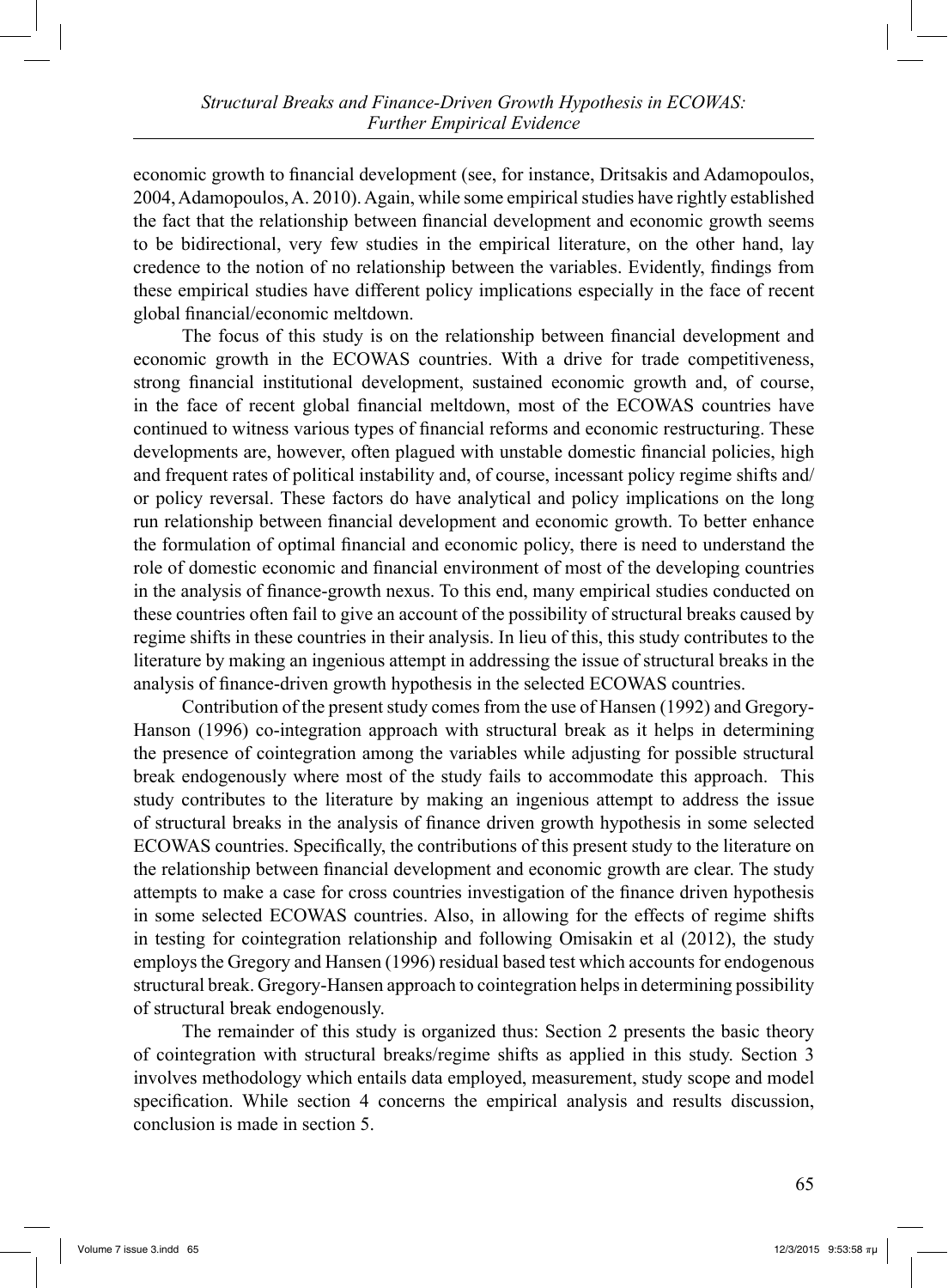economic growth to financial development (see, for instance, Dritsakis and Adamopoulos, 2004, Adamopoulos, A. 2010). Again, while some empirical studies have rightly established the fact that the relationship between financial development and economic growth seems to be bidirectional, very few studies in the empirical literature, on the other hand, lay credence to the notion of no relationship between the variables. Evidently, findings from these empirical studies have different policy implications especially in the face of recent global financial/economic meltdown.

 The focus of this study is on the relationship between financial development and economic growth in the ECOWAS countries. With a drive for trade competitiveness, strong financial institutional development, sustained economic growth and, of course, in the face of recent global financial meltdown, most of the ECOWAS countries have continued to witness various types of financial reforms and economic restructuring. These developments are, however, often plagued with unstable domestic financial policies, high and frequent rates of political instability and, of course, incessant policy regime shifts and/ or policy reversal. These factors do have analytical and policy implications on the long run relationship between financial development and economic growth. To better enhance the formulation of optimal financial and economic policy, there is need to understand the role of domestic economic and financial environment of most of the developing countries in the analysis of finance-growth nexus. To this end, many empirical studies conducted on these countries often fail to give an account of the possibility of structural breaks caused by regime shifts in these countries in their analysis. In lieu of this, this study contributes to the literature by making an ingenious attempt in addressing the issue of structural breaks in the analysis of finance-driven growth hypothesis in the selected ECOWAS countries.

 Contribution of the present study comes from the use of Hansen (1992) and Gregory-Hanson (1996) co-integration approach with structural break as it helps in determining the presence of cointegration among the variables while adjusting for possible structural break endogenously where most of the study fails to accommodate this approach. This study contributes to the literature by making an ingenious attempt to address the issue of structural breaks in the analysis of finance driven growth hypothesis in some selected ECOWAS countries. Specifically, the contributions of this present study to the literature on the relationship between financial development and economic growth are clear. The study attempts to make a case for cross countries investigation of the finance driven hypothesis in some selected ECOWAS countries. Also, in allowing for the effects of regime shifts in testing for cointegration relationship and following Omisakin et al (2012), the study employs the Gregory and Hansen (1996) residual based test which accounts for endogenous structural break. Gregory-Hansen approach to cointegration helps in determining possibility of structural break endogenously.

 The remainder of this study is organized thus: Section 2 presents the basic theory of cointegration with structural breaks/regime shifts as applied in this study. Section 3 involves methodology which entails data employed, measurement, study scope and model specification. While section 4 concerns the empirical analysis and results discussion, conclusion is made in section 5.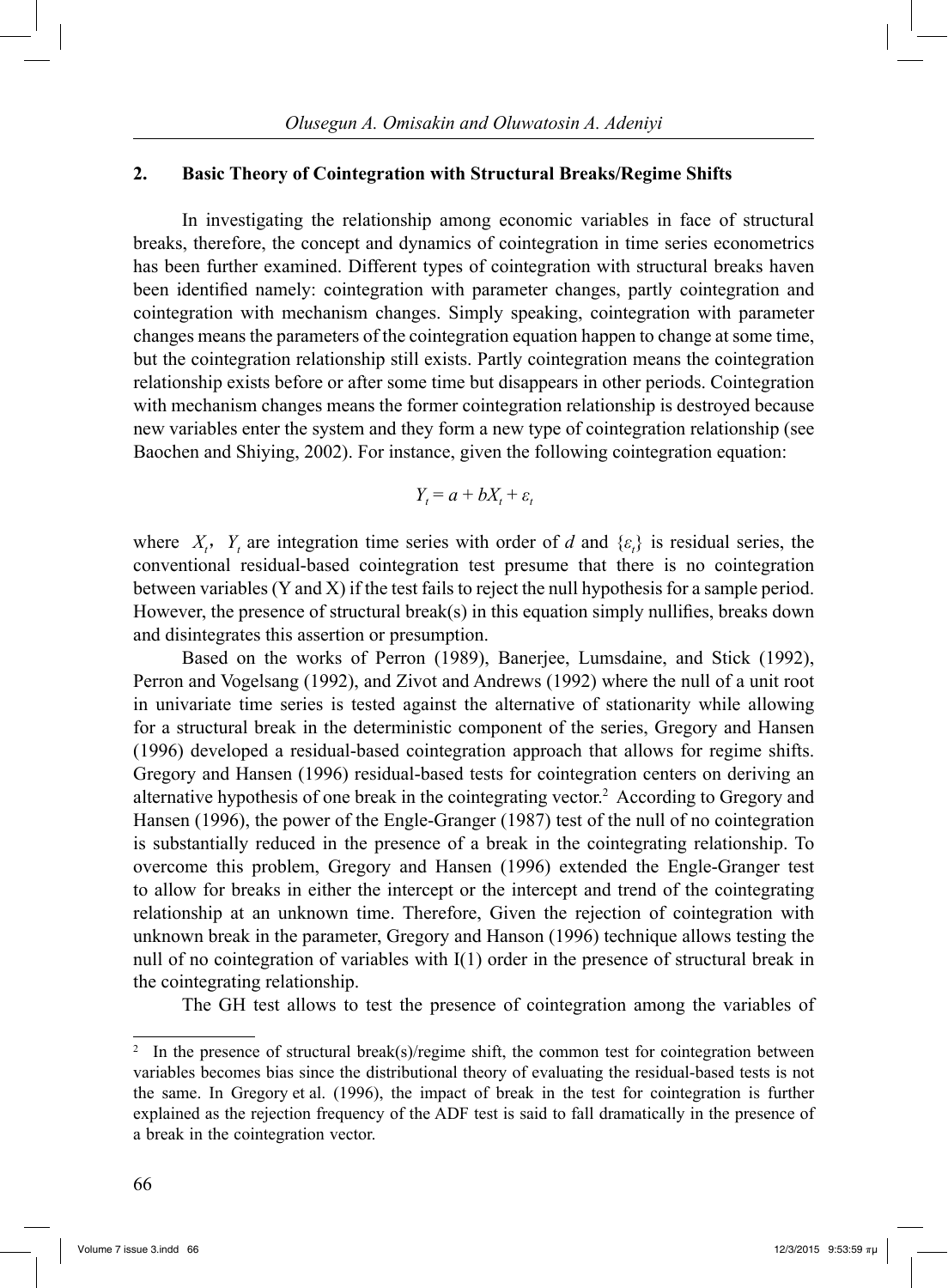### **2. Basic Theory of Cointegration with Structural Breaks/Regime Shifts**

 In investigating the relationship among economic variables in face of structural breaks, therefore, the concept and dynamics of cointegration in time series econometrics has been further examined. Different types of cointegration with structural breaks haven been identified namely: cointegration with parameter changes, partly cointegration and cointegration with mechanism changes. Simply speaking, cointegration with parameter changes means the parameters of the cointegration equation happen to change at some time, but the cointegration relationship still exists. Partly cointegration means the cointegration relationship exists before or after some time but disappears in other periods. Cointegration with mechanism changes means the former cointegration relationship is destroyed because new variables enter the system and they form a new type of cointegration relationship (see Baochen and Shiying, 2002). For instance, given the following cointegration equation:

$$
Y_t = a + bX_t + \varepsilon_t
$$

where  $X_t$ ,  $Y_t$  are integration time series with order of *d* and  $\{\varepsilon_t\}$  is residual series, the conventional residual-based cointegration test presume that there is no cointegration between variables (Y and X) if the test fails to reject the null hypothesis for a sample period. However, the presence of structural break(s) in this equation simply nullifies, breaks down and disintegrates this assertion or presumption.

 Based on the works of Perron (1989), Banerjee, Lumsdaine, and Stick (1992), Perron and Vogelsang (1992), and Zivot and Andrews (1992) where the null of a unit root in univariate time series is tested against the alternative of stationarity while allowing for a structural break in the deterministic component of the series, Gregory and Hansen (1996) developed a residual-based cointegration approach that allows for regime shifts. Gregory and Hansen (1996) residual-based tests for cointegration centers on deriving an alternative hypothesis of one break in the cointegrating vector.2 According to Gregory and Hansen (1996), the power of the Engle-Granger (1987) test of the null of no cointegration is substantially reduced in the presence of a break in the cointegrating relationship. To overcome this problem, Gregory and Hansen (1996) extended the Engle-Granger test to allow for breaks in either the intercept or the intercept and trend of the cointegrating relationship at an unknown time. Therefore, Given the rejection of cointegration with unknown break in the parameter, Gregory and Hanson (1996) technique allows testing the null of no cointegration of variables with I(1) order in the presence of structural break in the cointegrating relationship.

The GH test allows to test the presence of cointegration among the variables of

<sup>2</sup> In the presence of structural break(s)/regime shift, the common test for cointegration between variables becomes bias since the distributional theory of evaluating the residual-based tests is not the same. In Gregory et al. (1996), the impact of break in the test for cointegration is further explained as the rejection frequency of the ADF test is said to fall dramatically in the presence of a break in the cointegration vector.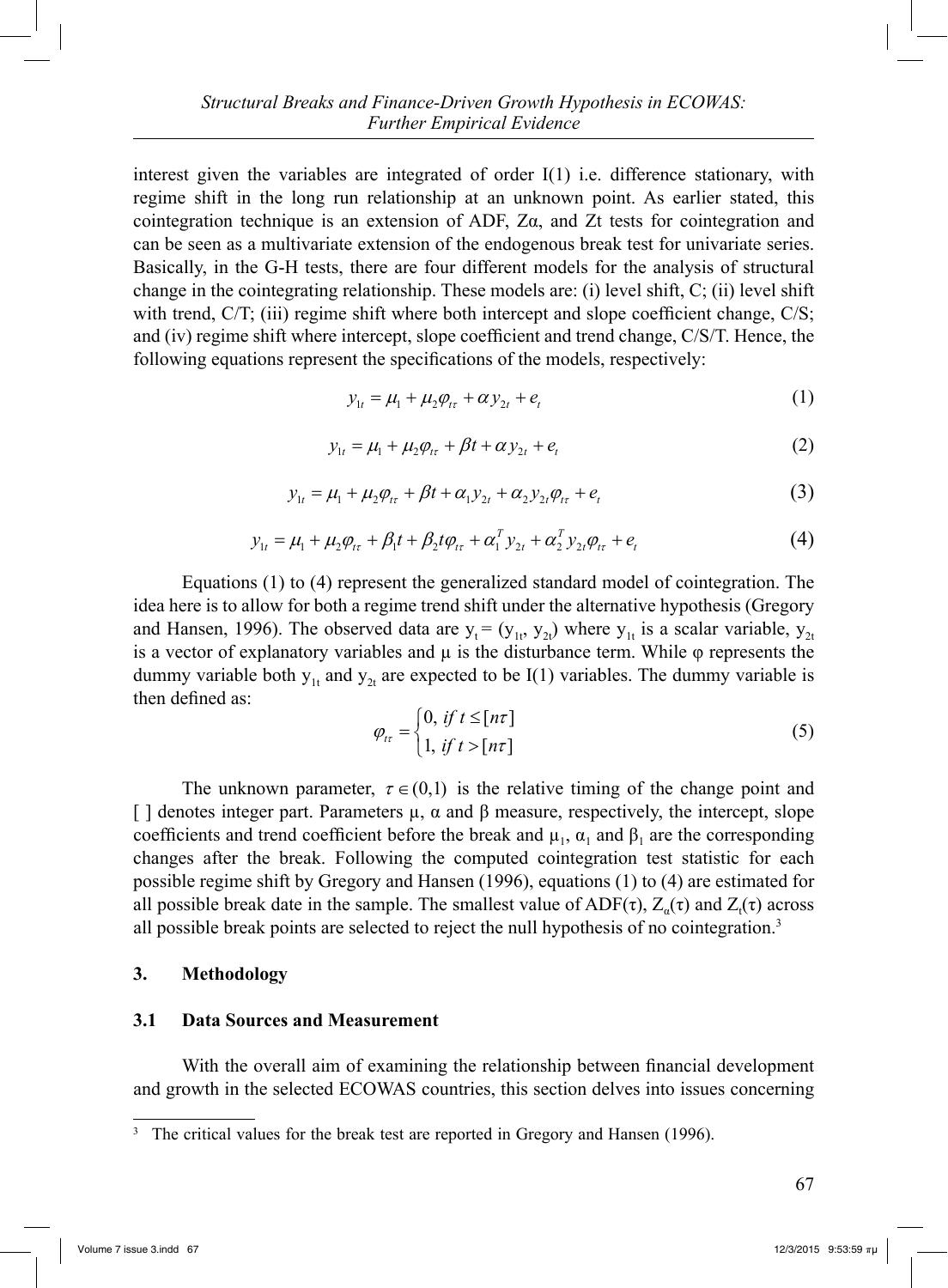interest given the variables are integrated of order  $I(1)$  i.e. difference stationary, with regime shift in the long run relationship at an unknown point. As earlier stated, this cointegration technique is an extension of ADF,  $Z\alpha$ , and  $Zt$  tests for cointegration and can be seen as a multivariate extension of the endogenous break test for univariate series. Basically, in the G-H tests, there are four different models for the analysis of structural change in the cointegrating relationship. These models are: (i) level shift, C; (ii) level shift with trend, C/T; (iii) regime shift where both intercept and slope coefficient change, C/S; and (iv) regime shift where intercept, slope coefficient and trend change, C/S/T. Hence, the following equations represent the specifications of the models, respectively:

$$
y_{1t} = \mu_1 + \mu_2 \varphi_{t\tau} + \alpha y_{2t} + e_t
$$
 (1)

$$
y_{1t} = \mu_1 + \mu_2 \varphi_{t\tau} + \beta t + \alpha y_{2t} + e_t \tag{2}
$$

$$
y_{1t} = \mu_1 + \mu_2 \varphi_{t\tau} + \beta t + \alpha_1 y_{2t} + \alpha_2 y_{2t} \varphi_{t\tau} + e_t
$$
 (3)

$$
y_{1t} = \mu_1 + \mu_2 \varphi_{1t} + \beta_1 t + \beta_2 t \varphi_{1t} + \alpha_1^T y_{2t} + \alpha_2^T y_{2t} \varphi_{1t} + e_t
$$
 (4)

 Equations (1) to (4) represent the generalized standard model of cointegration. The idea here is to allow for both a regime trend shift under the alternative hypothesis (Gregory and Hansen, 1996). The observed data are  $y_t = (y_{1t}, y_{2t})$  where  $y_{1t}$  is a scalar variable,  $y_{2t}$ is a vector of explanatory variables and  $μ$  is the disturbance term. While  $φ$  represents the dummy variable both  $y_{1t}$  and  $y_{2t}$  are expected to be I(1) variables. The dummy variable is then defined as:

$$
\varphi_{t\tau} = \begin{cases} 0, & \text{if } t \leq [n\tau] \\ 1, & \text{if } t > [n\tau] \end{cases} \tag{5}
$$

The unknown parameter,  $\tau \in (0,1)$  is the relative timing of the change point and [ ] denotes integer part. Parameters  $\mu$ ,  $\alpha$  and  $\beta$  measure, respectively, the intercept, slope coefficients and trend coefficient before the break and  $\mu_1$ ,  $\alpha_1$  and  $\beta_1$  are the corresponding changes after the break. Following the computed cointegration test statistic for each possible regime shift by Gregory and Hansen (1996), equations (1) to (4) are estimated for all possible break date in the sample. The smallest value of  $ADF(\tau)$ ,  $Z_{\alpha}(\tau)$  and  $Z_{t}(\tau)$  across all possible break points are selected to reject the null hypothesis of no cointegration.3

### **3. Methodology**

#### **3.1 Data Sources and Measurement**

 With the overall aim of examining the relationship between financial development and growth in the selected ECOWAS countries, this section delves into issues concerning

<sup>&</sup>lt;sup>3</sup> The critical values for the break test are reported in Gregory and Hansen (1996).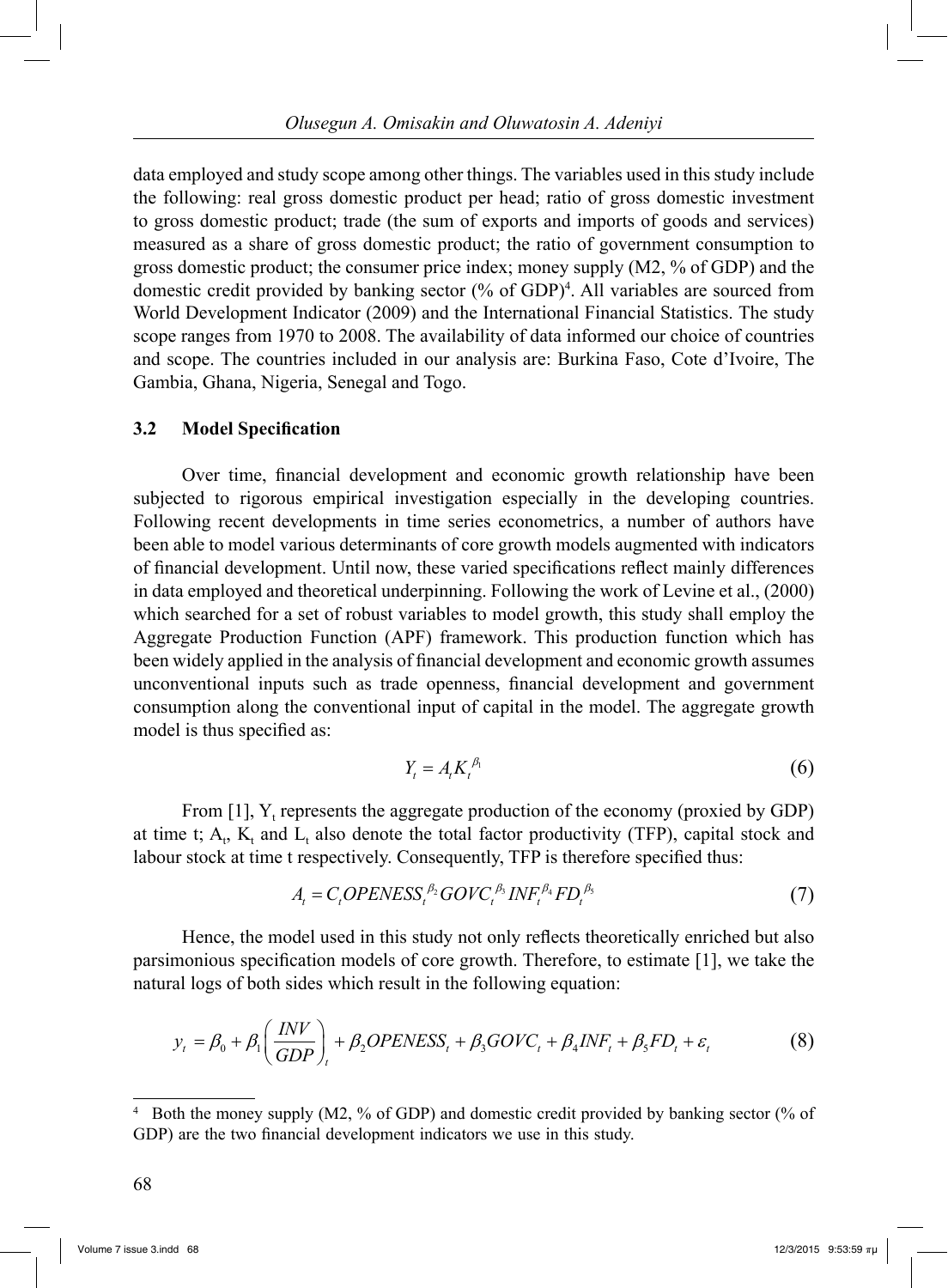data employed and study scope among other things. The variables used in this study include the following: real gross domestic product per head; ratio of gross domestic investment to gross domestic product; trade (the sum of exports and imports of goods and services) measured as a share of gross domestic product; the ratio of government consumption to gross domestic product; the consumer price index; money supply (M2, % of GDP) and the domestic credit provided by banking sector (% of GDP)4 . All variables are sourced from World Development Indicator (2009) and the International Financial Statistics. The study scope ranges from 1970 to 2008. The availability of data informed our choice of countries and scope. The countries included in our analysis are: Burkina Faso, Cote d'Ivoire, The Gambia, Ghana, Nigeria, Senegal and Togo.

## **3.2 Model Specification**

 Over time, financial development and economic growth relationship have been subjected to rigorous empirical investigation especially in the developing countries. Following recent developments in time series econometrics, a number of authors have been able to model various determinants of core growth models augmented with indicators of financial development. Until now, these varied specifications reflect mainly differences in data employed and theoretical underpinning. Following the work of Levine et al., (2000) which searched for a set of robust variables to model growth, this study shall employ the Aggregate Production Function (APF) framework. This production function which has been widely applied in the analysis of financial development and economic growth assumes unconventional inputs such as trade openness, financial development and government consumption along the conventional input of capital in the model. The aggregate growth model is thus specified as:

$$
Y_t = A_t K_t^{\beta_1} \tag{6}
$$

From [1],  $Y_t$  represents the aggregate production of the economy (proxied by GDP) at time t;  $A_t$ ,  $K_t$  and  $L_t$  also denote the total factor productivity (TFP), capital stock and labour stock at time t respectively. Consequently, TFP is therefore specified thus:

$$
A_t = C_t OPENESS_t^{\beta_2} GOVC_t^{\beta_3} INF_t^{\beta_4} FD_t^{\beta_5}
$$
\n
$$
\tag{7}
$$

 Hence, the model used in this study not only reflects theoretically enriched but also parsimonious specification models of core growth. Therefore, to estimate [1], we take the natural logs of both sides which result in the following equation:

$$
y_t = \beta_0 + \beta_1 \left(\frac{INV}{GDP}\right)_t + \beta_2 OPENESS_t + \beta_3 GOVC_t + \beta_4 INF_t + \beta_5 FD_t + \varepsilon_t
$$
(8)

<sup>4</sup> Both the money supply (M2, % of GDP) and domestic credit provided by banking sector (% of GDP) are the two financial development indicators we use in this study.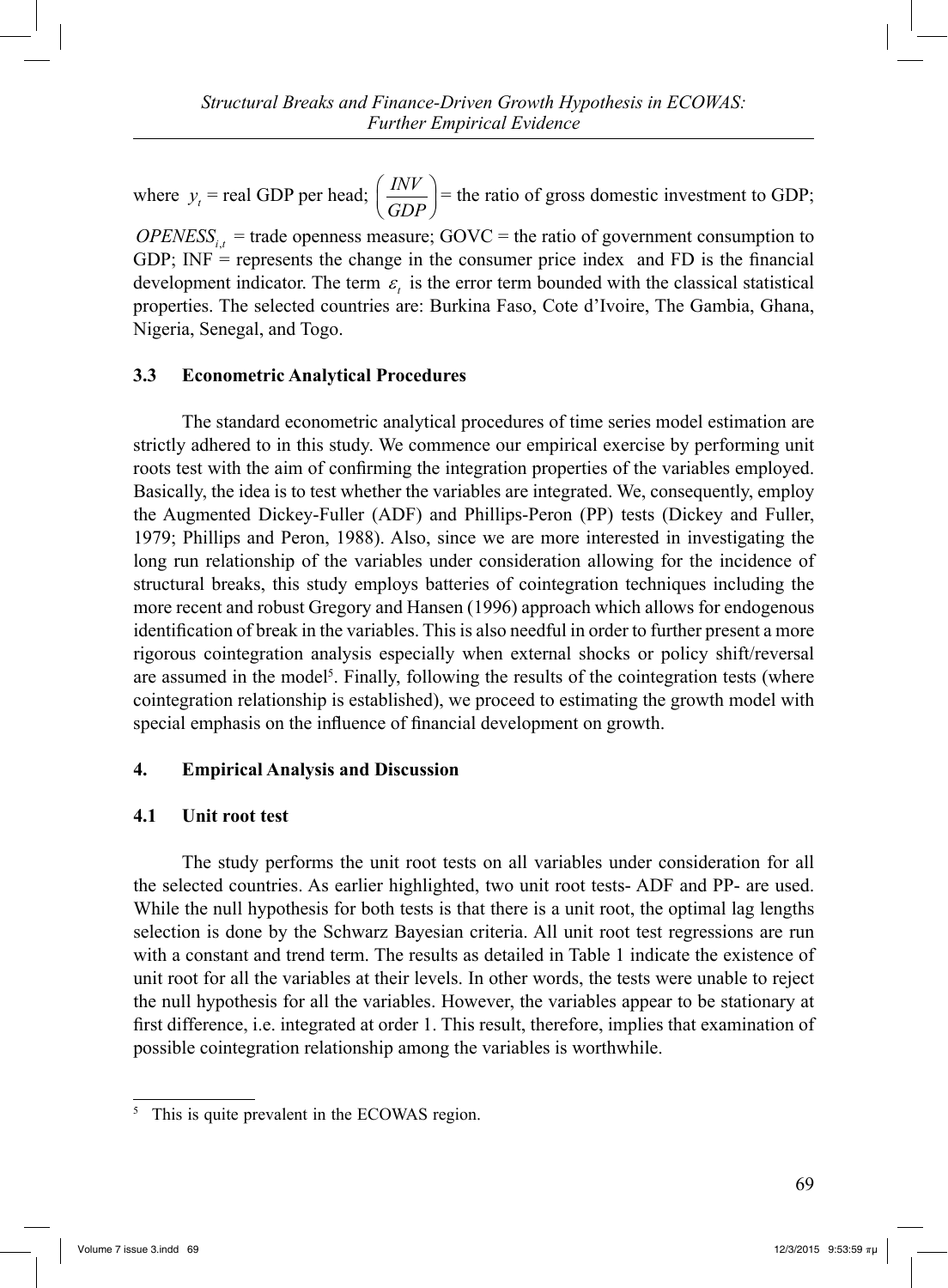where  $y_t$  = real GDP per head;  $\left(\frac{INV}{GDP}\right)$  = the ratio of gross domestic investment to GDP;

 $OPENESS_{i,t}$  = trade openness measure; GOVC = the ratio of government consumption to GDP; INF = represents the change in the consumer price index and FD is the financial development indicator. The term  $\varepsilon$ , is the error term bounded with the classical statistical properties. The selected countries are: Burkina Faso, Cote d'Ivoire, The Gambia, Ghana, Nigeria, Senegal, and Togo.

## **3.3 Econometric Analytical Procedures**

 The standard econometric analytical procedures of time series model estimation are strictly adhered to in this study. We commence our empirical exercise by performing unit roots test with the aim of confirming the integration properties of the variables employed. Basically, the idea is to test whether the variables are integrated. We, consequently, employ the Augmented Dickey-Fuller (ADF) and Phillips-Peron (PP) tests (Dickey and Fuller, 1979; Phillips and Peron, 1988). Also, since we are more interested in investigating the long run relationship of the variables under consideration allowing for the incidence of structural breaks, this study employs batteries of cointegration techniques including the more recent and robust Gregory and Hansen (1996) approach which allows for endogenous identification of break in the variables. This is also needful in order to further present a more rigorous cointegration analysis especially when external shocks or policy shift/reversal are assumed in the model<sup>5</sup>. Finally, following the results of the cointegration tests (where cointegration relationship is established), we proceed to estimating the growth model with special emphasis on the influence of financial development on growth.

# **4. Empirical Analysis and Discussion**

# **4.1 Unit root test**

 The study performs the unit root tests on all variables under consideration for all the selected countries. As earlier highlighted, two unit root tests- ADF and PP- are used. While the null hypothesis for both tests is that there is a unit root, the optimal lag lengths selection is done by the Schwarz Bayesian criteria. All unit root test regressions are run with a constant and trend term. The results as detailed in Table 1 indicate the existence of unit root for all the variables at their levels. In other words, the tests were unable to reject the null hypothesis for all the variables. However, the variables appear to be stationary at first difference, i.e. integrated at order 1. This result, therefore, implies that examination of possible cointegration relationship among the variables is worthwhile.

<sup>5</sup> This is quite prevalent in the ECOWAS region.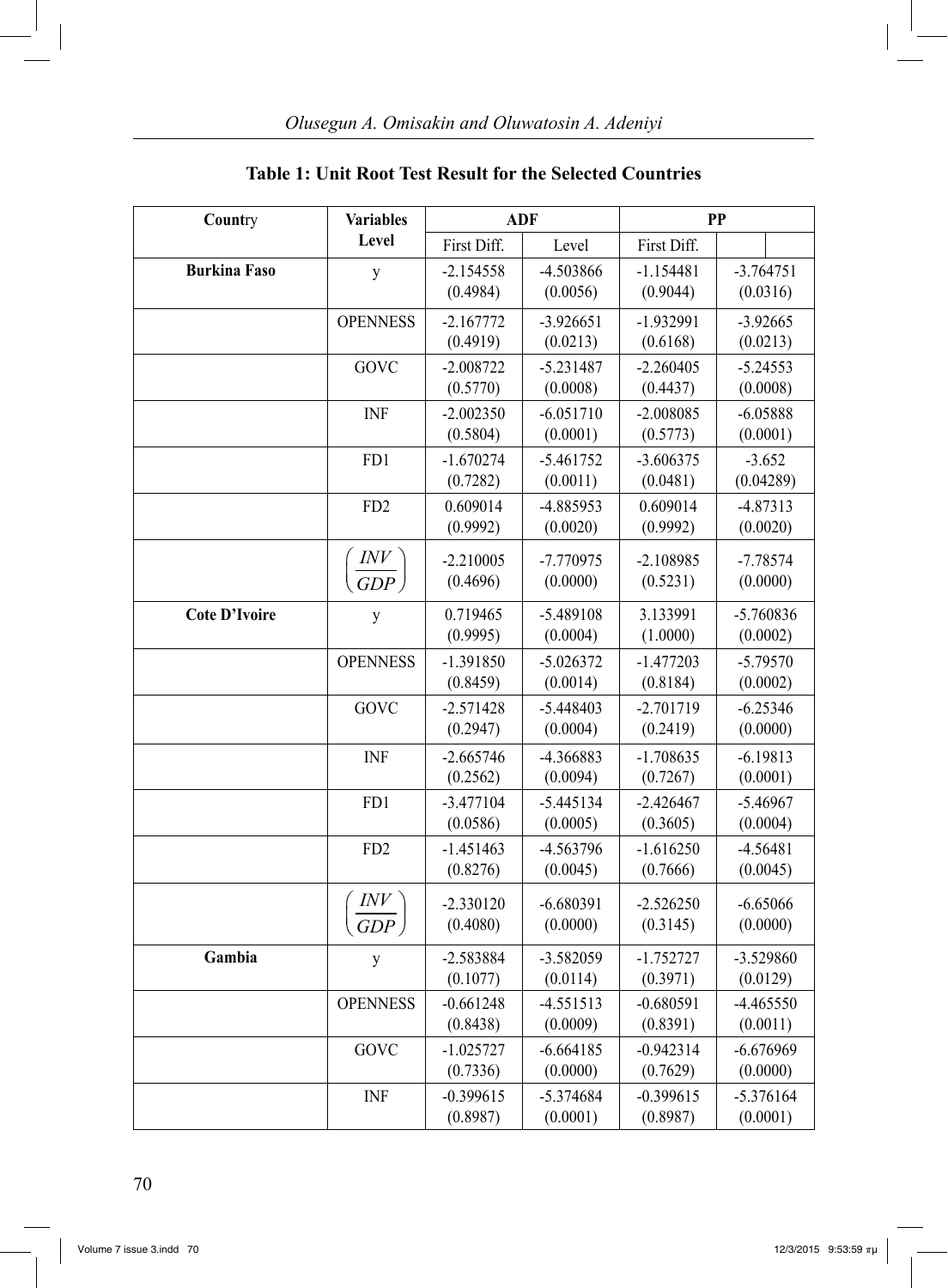|  | <b>Table 1: Unit Root Test Result for the Selected Countries</b> |  |
|--|------------------------------------------------------------------|--|
|--|------------------------------------------------------------------|--|

| Country              | <b>Variables</b> |                      | <b>ADF</b>            | <b>PP</b>            |                        |
|----------------------|------------------|----------------------|-----------------------|----------------------|------------------------|
|                      | Level            | First Diff.          | Level                 | First Diff.          |                        |
| <b>Burkina Faso</b>  | y                | $-2.154558$          | -4.503866             | $-1.154481$          | $-3.764751$            |
|                      |                  | (0.4984)             | (0.0056)              | (0.9044)             | (0.0316)               |
|                      | <b>OPENNESS</b>  | $-2.167772$          | $-3.926651$           | $-1.932991$          | $-3.92665$             |
|                      |                  | (0.4919)             | (0.0213)              | (0.6168)             | (0.0213)               |
|                      | GOVC             | $-2.008722$          | $-5.231487$           | $-2.260405$          | $-5.24553$             |
|                      |                  | (0.5770)             | (0.0008)              | (0.4437)             | (0.0008)               |
|                      | <b>INF</b>       | $-2.002350$          | $-6.051710$           | $-2.008085$          | $-6.05888$             |
|                      |                  | (0.5804)             | (0.0001)              | (0.5773)             | (0.0001)               |
|                      | FD1              | $-1.670274$          | $-5.461752$           | $-3.606375$          | $-3.652$               |
|                      |                  | (0.7282)             | (0.0011)              | (0.0481)             | (0.04289)              |
|                      | FD <sub>2</sub>  | 0.609014<br>(0.9992) | -4.885953<br>(0.0020) | 0.609014<br>(0.9992) | $-4.87313$<br>(0.0020) |
|                      |                  |                      |                       |                      |                        |
|                      | INV              | $-2.210005$          | $-7.770975$           | $-2.108985$          | $-7.78574$             |
|                      | GDP              | (0.4696)             | (0.0000)              | (0.5231)             | (0.0000)               |
| <b>Cote D'Ivoire</b> | y                | 0.719465             | -5.489108             | 3.133991             | $-5.760836$            |
|                      |                  | (0.9995)             | (0.0004)              | (1.0000)             | (0.0002)               |
|                      | <b>OPENNESS</b>  | $-1.391850$          | $-5.026372$           | $-1.477203$          | $-5.79570$             |
|                      |                  | (0.8459)             | (0.0014)              | (0.8184)             | (0.0002)               |
|                      | GOVC             | $-2.571428$          | $-5.448403$           | $-2.701719$          | $-6.25346$             |
|                      |                  | (0.2947)             | (0.0004)              | (0.2419)             | (0.0000)               |
|                      | <b>INF</b>       | $-2.665746$          | -4.366883             | $-1.708635$          | $-6.19813$             |
|                      |                  | (0.2562)             | (0.0094)              | (0.7267)             | (0.0001)               |
|                      | FD1              | $-3.477104$          | $-5.445134$           | $-2.426467$          | $-5.46967$             |
|                      |                  | (0.0586)             | (0.0005)              | (0.3605)             | (0.0004)               |
|                      | FD <sub>2</sub>  | $-1.451463$          | -4.563796             | $-1.616250$          | $-4.56481$             |
|                      |                  | (0.8276)             | (0.0045)              | (0.7666)             | (0.0045)               |
|                      |                  | $-2.330120$          | $-6.680391$           | $-2.526250$          | $-6.65066$             |
|                      | GDP              | (0.4080)             | (0.0000)              | (0.3145)             | (0.0000)               |
| Gambia               | y                | $-2.583884$          | $-3.582059$           | $-1.752727$          | -3.529860              |
|                      |                  | (0.1077)             | (0.0114)              | (0.3971)             | (0.0129)               |
|                      | <b>OPENNESS</b>  | $-0.661248$          | $-4.551513$           | $-0.680591$          | $-4.465550$            |
|                      |                  | (0.8438)             | (0.0009)              | (0.8391)             | (0.0011)               |
|                      | GOVC             | $-1.025727$          | $-6.664185$           | $-0.942314$          | $-6.676969$            |
|                      |                  | (0.7336)             | (0.0000)              | (0.7629)             | (0.0000)               |
|                      | INF              | $-0.399615$          | $-5.374684$           | $-0.399615$          | $-5.376164$            |
|                      |                  | (0.8987)             | (0.0001)              | (0.8987)             | (0.0001)               |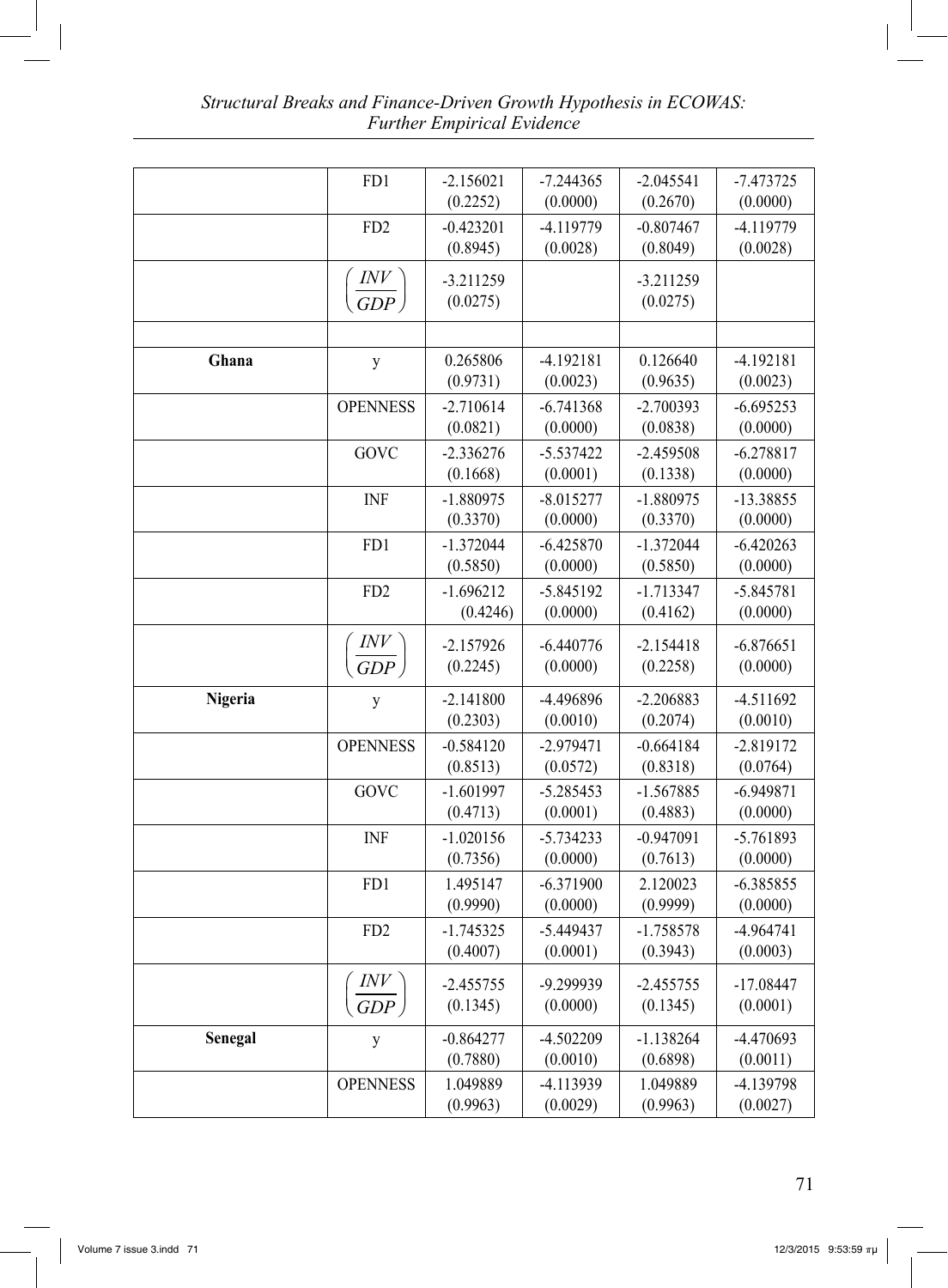|         | FD1                            | $-2.156021$ | $-7.244365$ | $-2.045541$ | $-7.473725$ |
|---------|--------------------------------|-------------|-------------|-------------|-------------|
|         |                                | (0.2252)    | (0.0000)    | (0.2670)    | (0.0000)    |
|         | FD <sub>2</sub>                | $-0.423201$ | $-4.119779$ | $-0.807467$ | -4.119779   |
|         |                                | (0.8945)    | (0.0028)    | (0.8049)    | (0.0028)    |
|         |                                | $-3.211259$ |             | $-3.211259$ |             |
|         | $\left(\frac{INV}{GDP}\right)$ | (0.0275)    |             | (0.0275)    |             |
|         |                                |             |             |             |             |
|         |                                |             |             |             |             |
| Ghana   | y                              | 0.265806    | $-4.192181$ | 0.126640    | $-4.192181$ |
|         |                                | (0.9731)    | (0.0023)    | (0.9635)    | (0.0023)    |
|         | <b>OPENNESS</b>                | $-2.710614$ | $-6.741368$ | $-2.700393$ | $-6.695253$ |
|         |                                | (0.0821)    | (0.0000)    | (0.0838)    | (0.0000)    |
|         | GOVC                           | $-2.336276$ | $-5.537422$ | $-2.459508$ | $-6.278817$ |
|         |                                | (0.1668)    | (0.0001)    | (0.1338)    | (0.0000)    |
|         | <b>INF</b>                     | $-1.880975$ | $-8.015277$ | $-1.880975$ | -13.38855   |
|         |                                | (0.3370)    | (0.0000)    | (0.3370)    | (0.0000)    |
|         | FD1                            | $-1.372044$ | $-6.425870$ | $-1.372044$ | $-6.420263$ |
|         |                                | (0.5850)    | (0.0000)    | (0.5850)    | (0.0000)    |
|         | FD <sub>2</sub>                | $-1.696212$ | $-5.845192$ | $-1.713347$ | $-5.845781$ |
|         |                                | (0.4246)    | (0.0000)    | (0.4162)    | (0.0000)    |
|         | INV                            | $-2.157926$ | $-6.440776$ | $-2.154418$ | $-6.876651$ |
|         | GDP                            | (0.2245)    | (0.0000)    | (0.2258)    | (0.0000)    |
|         |                                |             |             |             |             |
| Nigeria | y                              | $-2.141800$ | -4.496896   | $-2.206883$ | $-4.511692$ |
|         |                                | (0.2303)    | (0.0010)    | (0.2074)    | (0.0010)    |
|         | <b>OPENNESS</b>                | $-0.584120$ | $-2.979471$ | $-0.664184$ | $-2.819172$ |
|         |                                | (0.8513)    | (0.0572)    | (0.8318)    | (0.0764)    |
|         | GOVC                           | $-1.601997$ | $-5.285453$ | $-1.567885$ | $-6.949871$ |
|         |                                | (0.4713)    | (0.0001)    | (0.4883)    | (0.0000)    |
|         | <b>INF</b>                     | $-1.020156$ | $-5.734233$ | $-0.947091$ | $-5.761893$ |
|         |                                | (0.7356)    | (0.0000)    | (0.7613)    | (0.0000)    |
|         | FD1                            | 1.495147    | $-6.371900$ | 2.120023    | $-6.385855$ |
|         |                                | (0.9990)    | (0.0000)    | (0.9999)    | (0.0000)    |
|         | FD <sub>2</sub>                | $-1.745325$ | $-5.449437$ | $-1.758578$ | 4.964741    |
|         |                                | (0.4007)    | (0.0001)    | (0.3943)    | (0.0003)    |
|         | INV                            | $-2.455755$ | -9.299939   | $-2.455755$ | $-17.08447$ |
|         | GDP                            | (0.1345)    | (0.0000)    | (0.1345)    | (0.0001)    |
|         |                                |             |             |             |             |
| Senegal | y                              | $-0.864277$ | $-4.502209$ | $-1.138264$ | -4.470693   |
|         |                                | (0.7880)    | (0.0010)    | (0.6898)    | (0.0011)    |
|         | <b>OPENNESS</b>                | 1.049889    | -4.113939   | 1.049889    | $-4.139798$ |
|         |                                | (0.9963)    | (0.0029)    | (0.9963)    | (0.0027)    |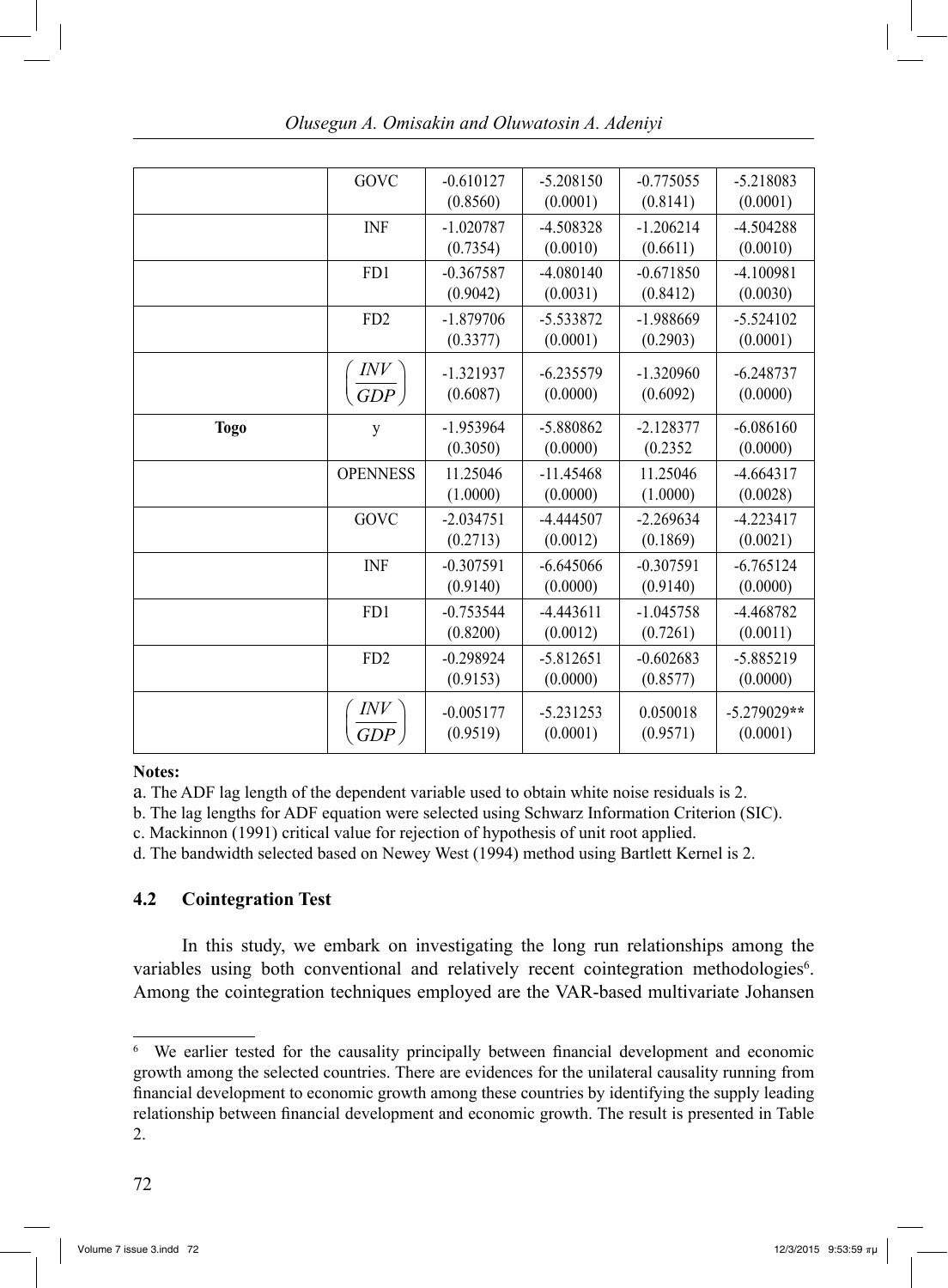|             | GOVC              | $-0.610127$ | $-5.208150$ | $-0.775055$ | $-5.218083$   |
|-------------|-------------------|-------------|-------------|-------------|---------------|
|             |                   | (0.8560)    | (0.0001)    | (0.8141)    | (0.0001)      |
|             | <b>INF</b>        | $-1.020787$ | $-4.508328$ | $-1.206214$ | $-4.504288$   |
|             |                   | (0.7354)    | (0.0010)    | (0.6611)    | (0.0010)      |
|             | FD1               | $-0.367587$ | $-4.080140$ | $-0.671850$ | $-4.100981$   |
|             |                   | (0.9042)    | (0.0031)    | (0.8412)    | (0.0030)      |
|             | FD <sub>2</sub>   | $-1.879706$ | -5.533872   | $-1.988669$ | $-5.524102$   |
|             |                   | (0.3377)    | (0.0001)    | (0.2903)    | (0.0001)      |
|             |                   | $-1.321937$ | $-6.235579$ | $-1.320960$ | $-6.248737$   |
|             | $\frac{INV}{GDP}$ | (0.6087)    | (0.0000)    | (0.6092)    | (0.0000)      |
|             |                   |             |             |             |               |
| <b>Togo</b> | y                 | $-1.953964$ | -5.880862   | $-2.128377$ | $-6.086160$   |
|             |                   | (0.3050)    | (0.0000)    | (0.2352)    | (0.0000)      |
|             | <b>OPENNESS</b>   | 11.25046    | $-11.45468$ | 11.25046    | $-4.664317$   |
|             |                   | (1.0000)    | (0.0000)    | (1.0000)    | (0.0028)      |
|             | GOVC              | $-2.034751$ | -4.444507   | $-2.269634$ | $-4.223417$   |
|             |                   | (0.2713)    | (0.0012)    | (0.1869)    | (0.0021)      |
|             | <b>INF</b>        | $-0.307591$ | $-6.645066$ | $-0.307591$ | $-6.765124$   |
|             |                   | (0.9140)    | (0.0000)    | (0.9140)    | (0.0000)      |
|             | FD1               | $-0.753544$ | $-4.443611$ | $-1.045758$ | $-4.468782$   |
|             |                   | (0.8200)    | (0.0012)    | (0.7261)    | (0.0011)      |
|             | FD <sub>2</sub>   | $-0.298924$ | $-5.812651$ | $-0.602683$ | $-5.885219$   |
|             |                   | (0.9153)    | (0.0000)    | (0.8577)    | (0.0000)      |
|             | INV               | $-0.005177$ | $-5.231253$ | 0.050018    | $-5.279029**$ |
|             | <b>GDP</b>        | (0.9519)    | (0.0001)    | (0.9571)    | (0.0001)      |
|             |                   |             |             |             |               |

### **Notes:**

a. The ADF lag length of the dependent variable used to obtain white noise residuals is 2.

b. The lag lengths for ADF equation were selected using Schwarz Information Criterion (SIC).

c. Mackinnon (1991) critical value for rejection of hypothesis of unit root applied.

d. The bandwidth selected based on Newey West (1994) method using Bartlett Kernel is 2.

# **4.2 Cointegration Test**

 In this study, we embark on investigating the long run relationships among the variables using both conventional and relatively recent cointegration methodologies<sup>6</sup>. Among the cointegration techniques employed are the VAR-based multivariate Johansen

<sup>6</sup> We earlier tested for the causality principally between financial development and economic growth among the selected countries. There are evidences for the unilateral causality running from financial development to economic growth among these countries by identifying the supply leading relationship between financial development and economic growth. The result is presented in Table 2.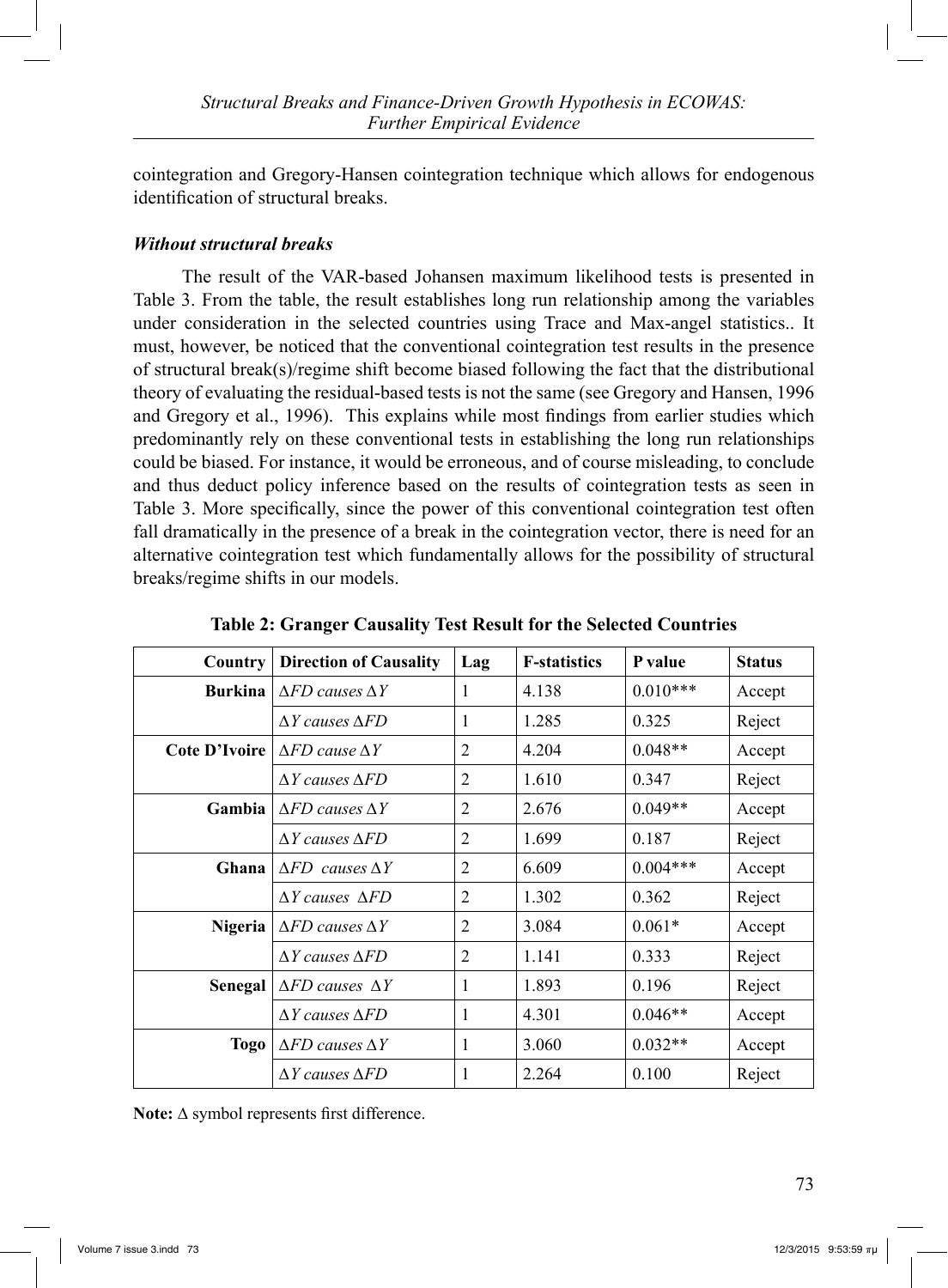cointegration and Gregory-Hansen cointegration technique which allows for endogenous identification of structural breaks.

# *Without structural breaks*

 The result of the VAR-based Johansen maximum likelihood tests is presented in Table 3. From the table, the result establishes long run relationship among the variables under consideration in the selected countries using Trace and Max-angel statistics.. It must, however, be noticed that the conventional cointegration test results in the presence of structural break(s)/regime shift become biased following the fact that the distributional theory of evaluating the residual-based tests is not the same (see Gregory and Hansen, 1996 and Gregory et al., 1996). This explains while most findings from earlier studies which predominantly rely on these conventional tests in establishing the long run relationships could be biased. For instance, it would be erroneous, and of course misleading, to conclude and thus deduct policy inference based on the results of cointegration tests as seen in Table 3. More specifically, since the power of this conventional cointegration test often fall dramatically in the presence of a break in the cointegration vector, there is need for an alternative cointegration test which fundamentally allows for the possibility of structural breaks/regime shifts in our models.

| <b>Country</b> | <b>Direction of Causality</b>       | Lag            | <b>F-statistics</b> | P value    | <b>Status</b> |
|----------------|-------------------------------------|----------------|---------------------|------------|---------------|
| <b>Burkina</b> | $\triangle FD$ causes $\triangle Y$ | 1              | 4.138               | $0.010***$ | Accept        |
|                | $\Delta Y$ causes $\Delta FD$       | 1              | 1.285               | 0.325      | Reject        |
| Cote D'Ivoire  | $\triangle FD$ cause $\triangle Y$  | $\overline{2}$ | 4.204               | $0.048**$  | Accept        |
|                | $\Delta Y$ causes $\Delta FD$       | $\overline{2}$ | 1.610               | 0.347      | Reject        |
| Gambia         | $\triangle FD$ causes $\triangle Y$ | 2              | 2.676               | $0.049**$  | Accept        |
|                | AY causes AFD                       | $\overline{2}$ | 1.699               | 0.187      | Reject        |
| Ghana          | $\Delta FD$ causes $\Delta Y$       | $\overline{2}$ | 6.609               | $0.004***$ | Accept        |
|                | $\Delta Y$ causes $\Delta FD$       | $\overline{2}$ | 1.302               | 0.362      | Reject        |
| <b>Nigeria</b> | $\Delta FD$ causes $\Delta Y$       | $\overline{2}$ | 3.084               | $0.061*$   | Accept        |
|                | $\Delta Y$ causes $\Delta FD$       | $\overline{2}$ | 1.141               | 0.333      | Reject        |
| Senegal        | $\Delta FD$ causes $\Delta Y$       | $\mathbf{1}$   | 1.893               | 0.196      | Reject        |
|                | $\Delta Y$ causes $\Delta FD$       | 1              | 4.301               | $0.046**$  | Accept        |
| Togo           | $\Delta FD$ causes $\Delta Y$       | 1              | 3.060               | $0.032**$  | Accept        |
|                | $\Delta Y$ causes $\Delta FD$       | 1              | 2.264               | 0.100      | Reject        |

**Table 2: Granger Causality Test Result for the Selected Countries**

**Note:** ∆ symbol represents first difference.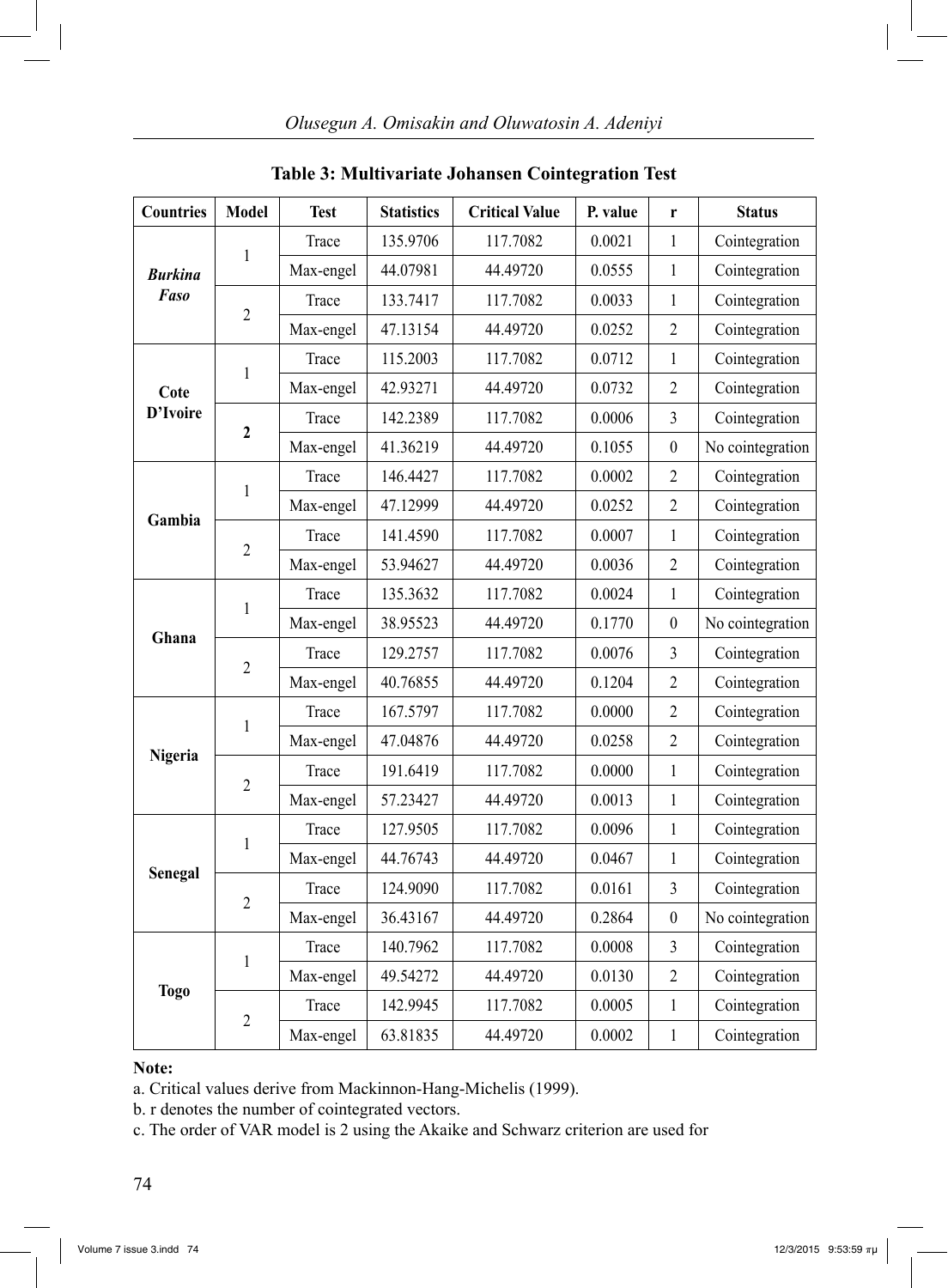| <b>Countries</b> | <b>Model</b>   | <b>Test</b> | <b>Statistics</b> | <b>Critical Value</b> | P. value | r                       | <b>Status</b>    |
|------------------|----------------|-------------|-------------------|-----------------------|----------|-------------------------|------------------|
|                  |                | Trace       | 135.9706          | 117.7082              | 0.0021   | $\mathbf{1}$            | Cointegration    |
| Burkina          | $\mathbf{1}$   | Max-engel   | 44.07981          | 44.49720              | 0.0555   | $\mathbf{1}$            | Cointegration    |
| Faso             |                | Trace       | 133.7417          | 117.7082              | 0.0033   | $\mathbf{1}$            | Cointegration    |
|                  | $\overline{2}$ | Max-engel   | 47.13154          | 44.49720              | 0.0252   | $\overline{2}$          | Cointegration    |
|                  |                | Trace       | 115.2003          | 117.7082              | 0.0712   | $\mathbf{1}$            | Cointegration    |
| Cote             | $\mathbf{1}$   | Max-engel   | 42.93271          | 44.49720              | 0.0732   | $\overline{c}$          | Cointegration    |
| D'Ivoire         |                | Trace       | 142.2389          | 117.7082              | 0.0006   | $\overline{3}$          | Cointegration    |
|                  | $\mathbf{2}$   | Max-engel   | 41.36219          | 44.49720              | 0.1055   | $\boldsymbol{0}$        | No cointegration |
|                  |                | Trace       | 146.4427          | 117.7082              | 0.0002   | $\overline{2}$          | Cointegration    |
|                  | $\mathbf{1}$   | Max-engel   | 47.12999          | 44.49720              | 0.0252   | $\overline{2}$          | Cointegration    |
| Gambia           |                | Trace       | 141.4590          | 117.7082              | 0.0007   | $\mathbf{1}$            | Cointegration    |
|                  | $\overline{2}$ | Max-engel   | 53.94627          | 44.49720              | 0.0036   | $\overline{2}$          | Cointegration    |
|                  | 1              | Trace       | 135.3632          | 117.7082              | 0.0024   | $\mathbf{1}$            | Cointegration    |
|                  |                | Max-engel   | 38.95523          | 44.49720              | 0.1770   | $\boldsymbol{0}$        | No cointegration |
| Ghana            |                | Trace       | 129.2757          | 117.7082              | 0.0076   | $\overline{\mathbf{3}}$ | Cointegration    |
|                  | $\overline{2}$ | Max-engel   | 40.76855          | 44.49720              | 0.1204   | $\overline{2}$          | Cointegration    |
|                  |                | Trace       | 167.5797          | 117.7082              | 0.0000   | $\overline{2}$          | Cointegration    |
|                  | 1              | Max-engel   | 47.04876          | 44.49720              | 0.0258   | $\overline{2}$          | Cointegration    |
| Nigeria          | $\overline{2}$ | Trace       | 191.6419          | 117.7082              | 0.0000   | $\mathbf{1}$            | Cointegration    |
|                  |                | Max-engel   | 57.23427          | 44.49720              | 0.0013   | $\mathbf{1}$            | Cointegration    |
|                  |                | Trace       | 127.9505          | 117.7082              | 0.0096   | $\mathbf{1}$            | Cointegration    |
|                  | 1              | Max-engel   | 44.76743          | 44.49720              | 0.0467   | $\mathbf{1}$            | Cointegration    |
| Senegal          | $\overline{2}$ | Trace       | 124.9090          | 117.7082              | 0.0161   | $\overline{3}$          | Cointegration    |
|                  |                | Max-engel   | 36.43167          | 44.49720              | 0.2864   | $\boldsymbol{0}$        | No cointegration |
|                  |                | Trace       | 140.7962          | 117.7082              | 0.0008   | $\overline{3}$          | Cointegration    |
|                  | $\mathbf{1}$   | Max-engel   | 49.54272          | 44.49720              | 0.0130   | $\overline{2}$          | Cointegration    |
| <b>Togo</b>      | $\overline{2}$ | Trace       | 142.9945          | 117.7082              | 0.0005   | 1                       | Cointegration    |
|                  |                | Max-engel   | 63.81835          | 44.49720              | 0.0002   | $\mathbf{1}$            | Cointegration    |

## **Table 3: Multivariate Johansen Cointegration Test**

### **Note:**

a. Critical values derive from Mackinnon-Hang-Michelis (1999).

b. r denotes the number of cointegrated vectors.

c. The order of VAR model is 2 using the Akaike and Schwarz criterion are used for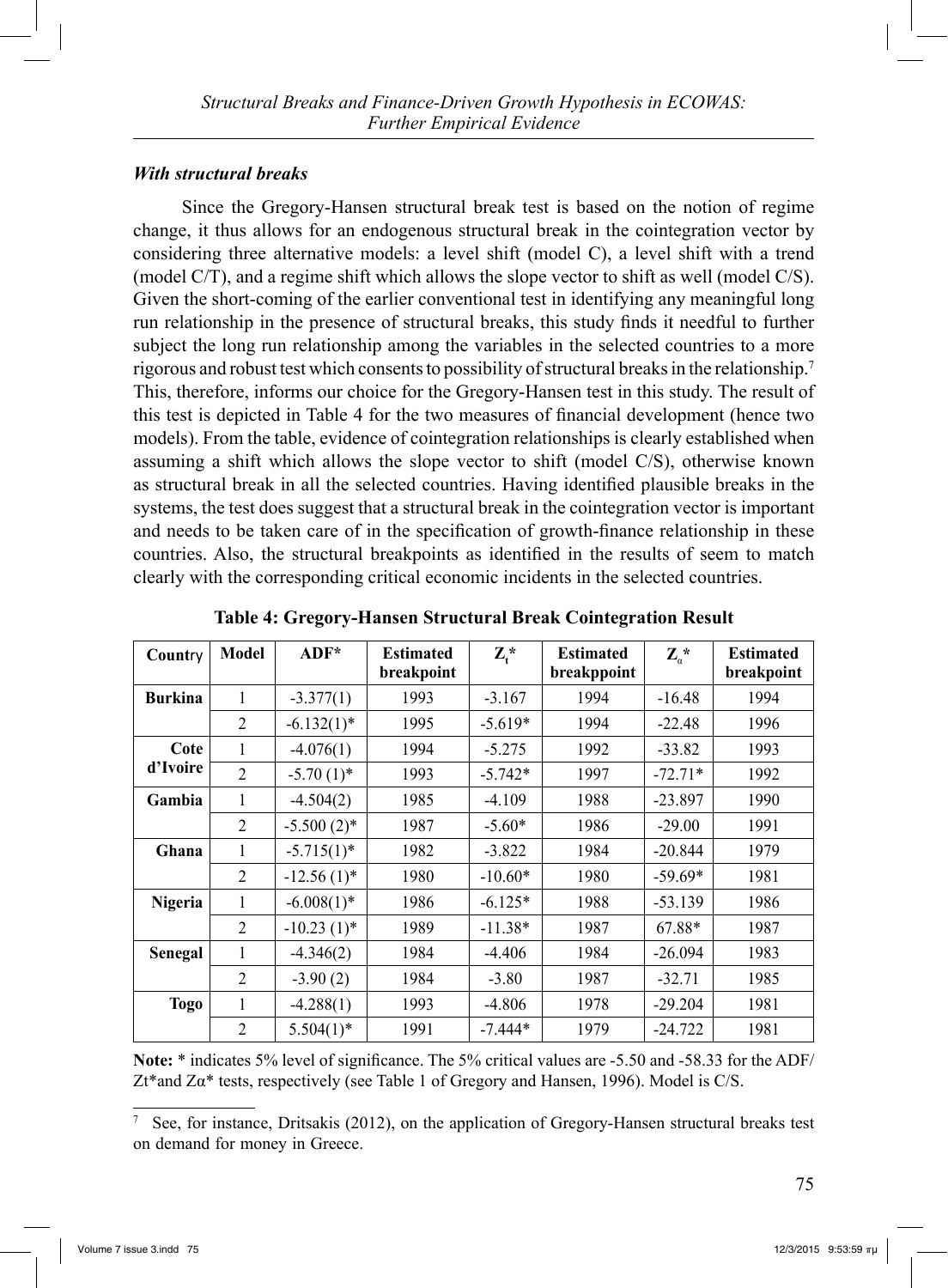# *With structural breaks*

 Since the Gregory-Hansen structural break test is based on the notion of regime change, it thus allows for an endogenous structural break in the cointegration vector by considering three alternative models: a level shift (model C), a level shift with a trend (model C/T), and a regime shift which allows the slope vector to shift as well (model C/S). Given the short-coming of the earlier conventional test in identifying any meaningful long run relationship in the presence of structural breaks, this study finds it needful to further subject the long run relationship among the variables in the selected countries to a more rigorous and robust test which consents to possibility of structural breaks in the relationship.7 This, therefore, informs our choice for the Gregory-Hansen test in this study. The result of this test is depicted in Table 4 for the two measures of financial development (hence two models). From the table, evidence of cointegration relationships is clearly established when assuming a shift which allows the slope vector to shift (model C/S), otherwise known as structural break in all the selected countries. Having identified plausible breaks in the systems, the test does suggest that a structural break in the cointegration vector is important and needs to be taken care of in the specification of growth-finance relationship in these countries. Also, the structural breakpoints as identified in the results of seem to match clearly with the corresponding critical economic incidents in the selected countries.

| Country        | Model          | $ADF^*$       | <b>Estimated</b><br>breakpoint | $\mathbf{Z}_{t}$ * | <b>Estimated</b><br>breakppoint | $\mathbf{Z}_{\alpha}^*$ | <b>Estimated</b><br>breakpoint |
|----------------|----------------|---------------|--------------------------------|--------------------|---------------------------------|-------------------------|--------------------------------|
| <b>Burkina</b> | 1              | $-3.377(1)$   | 1993                           | $-3.167$           | 1994                            | $-16.48$                | 1994                           |
|                | 2              | $-6.132(1)$ * | 1995                           | $-5.619*$          | 1994                            | $-22.48$                | 1996                           |
| Cote           | 1              | $-4.076(1)$   | 1994                           | $-5.275$           | 1992                            | $-33.82$                | 1993                           |
| d'Ivoire       | $\overline{2}$ | $-5.70(1)$ *  | 1993                           | $-5.742*$          | 1997                            | $-72.71*$               | 1992                           |
| Gambia         | 1              | $-4.504(2)$   | 1985                           | $-4.109$           | 1988                            | $-23.897$               | 1990                           |
|                | $\overline{2}$ | $-5.500(2)$ * | 1987                           | $-5.60*$           | 1986                            | $-29.00$                | 1991                           |
| Ghana          | 1              | $-5.715(1)^*$ | 1982                           | $-3.822$           | 1984                            | $-20.844$               | 1979                           |
|                | $\overline{2}$ | $-12.56(1)$ * | 1980                           | $-10.60*$          | 1980                            | $-59.69*$               | 1981                           |
| Nigeria        | 1              | $-6.008(1)$ * | 1986                           | $-6.125*$          | 1988                            | $-53.139$               | 1986                           |
|                | $\overline{2}$ | $-10.23(1)$ * | 1989                           | $-11.38*$          | 1987                            | 67.88*                  | 1987                           |
| Senegal        | 1              | $-4.346(2)$   | 1984                           | $-4.406$           | 1984                            | $-26.094$               | 1983                           |
|                | 2              | $-3.90(2)$    | 1984                           | $-3.80$            | 1987                            | $-32.71$                | 1985                           |
| <b>Togo</b>    | 1              | $-4.288(1)$   | 1993                           | $-4.806$           | 1978                            | $-29.204$               | 1981                           |
|                | $\overline{2}$ | $5.504(1)$ *  | 1991                           | $-7.444*$          | 1979                            | $-24.722$               | 1981                           |

**Table 4: Gregory-Hansen Structural Break Cointegration Result**

**Note:** \* indicates 5% level of significance. The 5% critical values are -5.50 and -58.33 for the ADF/  $Zt^*$  and  $Z\alpha^*$  tests, respectively (see Table 1 of Gregory and Hansen, 1996). Model is C/S.

<sup>7</sup> See, for instance, Dritsakis (2012), on the application of Gregory-Hansen structural breaks test on demand for money in Greece.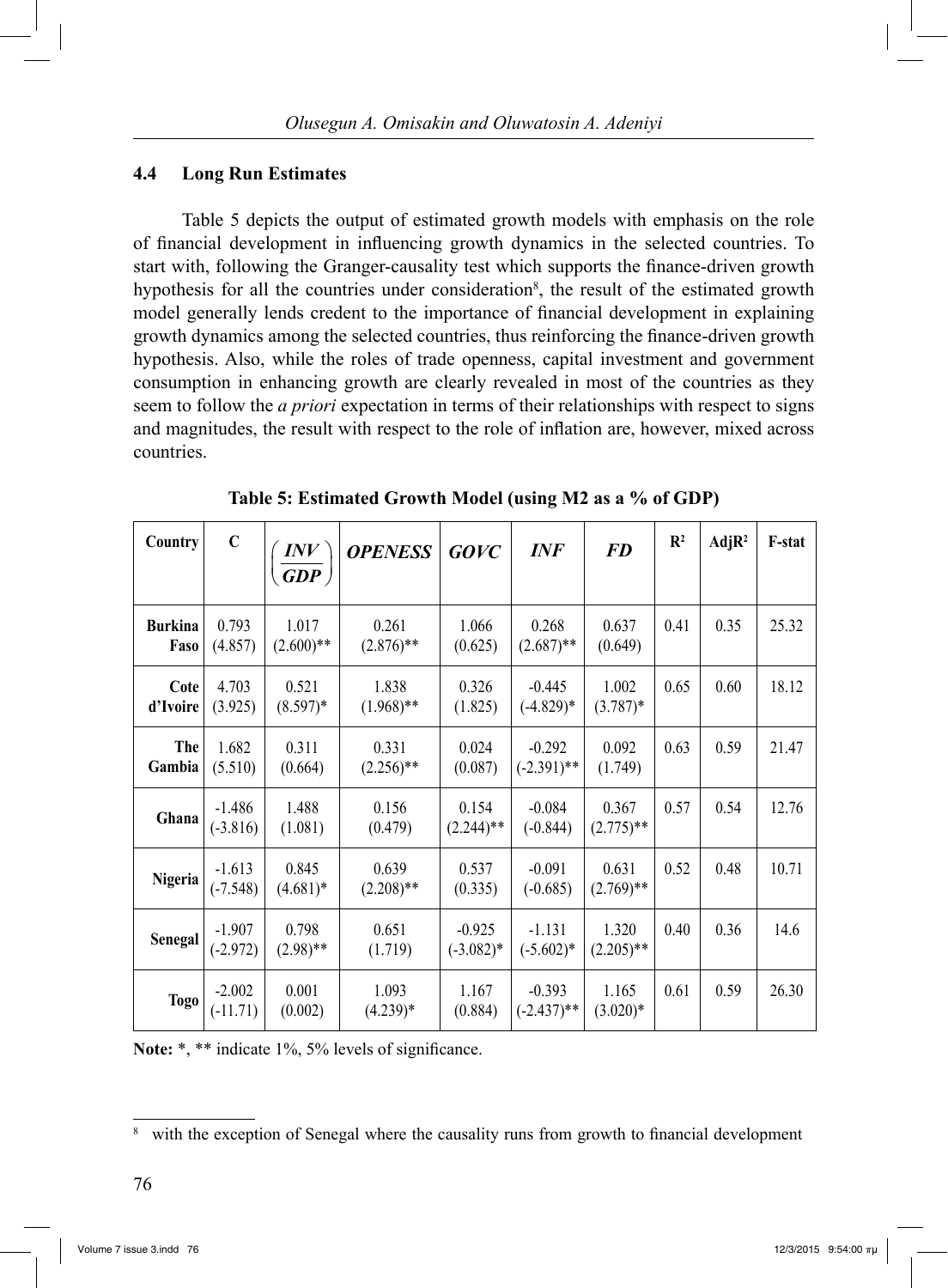# **4.4 Long Run Estimates**

 Table 5 depicts the output of estimated growth models with emphasis on the role of financial development in influencing growth dynamics in the selected countries. To start with, following the Granger-causality test which supports the finance-driven growth hypothesis for all the countries under consideration<sup>8</sup>, the result of the estimated growth model generally lends credent to the importance of financial development in explaining growth dynamics among the selected countries, thus reinforcing the finance-driven growth hypothesis. Also, while the roles of trade openness, capital investment and government consumption in enhancing growth are clearly revealed in most of the countries as they seem to follow the *a priori* expectation in terms of their relationships with respect to signs and magnitudes, the result with respect to the role of inflation are, however, mixed across countries.

| Country                | $\mathbf C$            | $\left(\frac{\textit{INV}}{\textit{GDP}}\right)$ | <b>OPENESS</b>        | GOVC                    | <b>INF</b>                | <b>FD</b>             | $\mathbb{R}^2$ | AdjR <sup>2</sup> | F-stat |
|------------------------|------------------------|--------------------------------------------------|-----------------------|-------------------------|---------------------------|-----------------------|----------------|-------------------|--------|
| <b>Burkina</b><br>Faso | 0.793<br>(4.857)       | 1.017<br>$(2.600)$ **                            | 0.261<br>$(2.876)$ ** | 1.066<br>(0.625)        | 0.268<br>$(2.687)$ **     | 0.637<br>(0.649)      | 0.41           | 0.35              | 25.32  |
| Cote<br>d'Ivoire       | 4.703<br>(3.925)       | 0.521<br>$(8.597)^*$                             | 1.838<br>$(1.968)$ ** | 0.326<br>(1.825)        | $-0.445$<br>$(-4.829)*$   | 1.002<br>$(3.787)^*$  | 0.65           | 0.60              | 18.12  |
| The<br>Gambia          | 1.682<br>(5.510)       | 0.311<br>(0.664)                                 | 0.331<br>$(2.256)$ ** | 0.024<br>(0.087)        | $-0.292$<br>$(-2.391)$ ** | 0.092<br>(1.749)      | 0.63           | 0.59              | 21.47  |
| Ghana                  | $-1.486$<br>$(-3.816)$ | 1.488<br>(1.081)                                 | 0.156<br>(0.479)      | 0.154<br>$(2.244)$ **   | $-0.084$<br>$(-0.844)$    | 0.367<br>$(2.775)$ ** | 0.57           | 0.54              | 12.76  |
| Nigeria                | $-1.613$<br>$(-7.548)$ | 0.845<br>$(4.681)*$                              | 0.639<br>$(2.208)$ ** | 0.537<br>(0.335)        | $-0.091$<br>$(-0.685)$    | 0.631<br>$(2.769)$ ** | 0.52           | 0.48              | 10.71  |
| Senegal                | $-1.907$<br>$(-2.972)$ | 0.798<br>$(2.98)$ **                             | 0.651<br>(1.719)      | $-0.925$<br>$(-3.082)*$ | $-1.131$<br>$(-5.602)^*$  | 1.320<br>$(2.205)$ ** | 0.40           | 0.36              | 14.6   |
| <b>Togo</b>            | $-2.002$<br>$(-11.71)$ | 0.001<br>(0.002)                                 | 1.093<br>$(4.239)*$   | 1.167<br>(0.884)        | $-0.393$<br>$(-2.437)$ ** | 1.165<br>$(3.020)*$   | 0.61           | 0.59              | 26.30  |

**Table 5: Estimated Growth Model (using M2 as a % of GDP)**

Note: \*, \*\* indicate 1%, 5% levels of significance.

<sup>8</sup> with the exception of Senegal where the causality runs from growth to financial development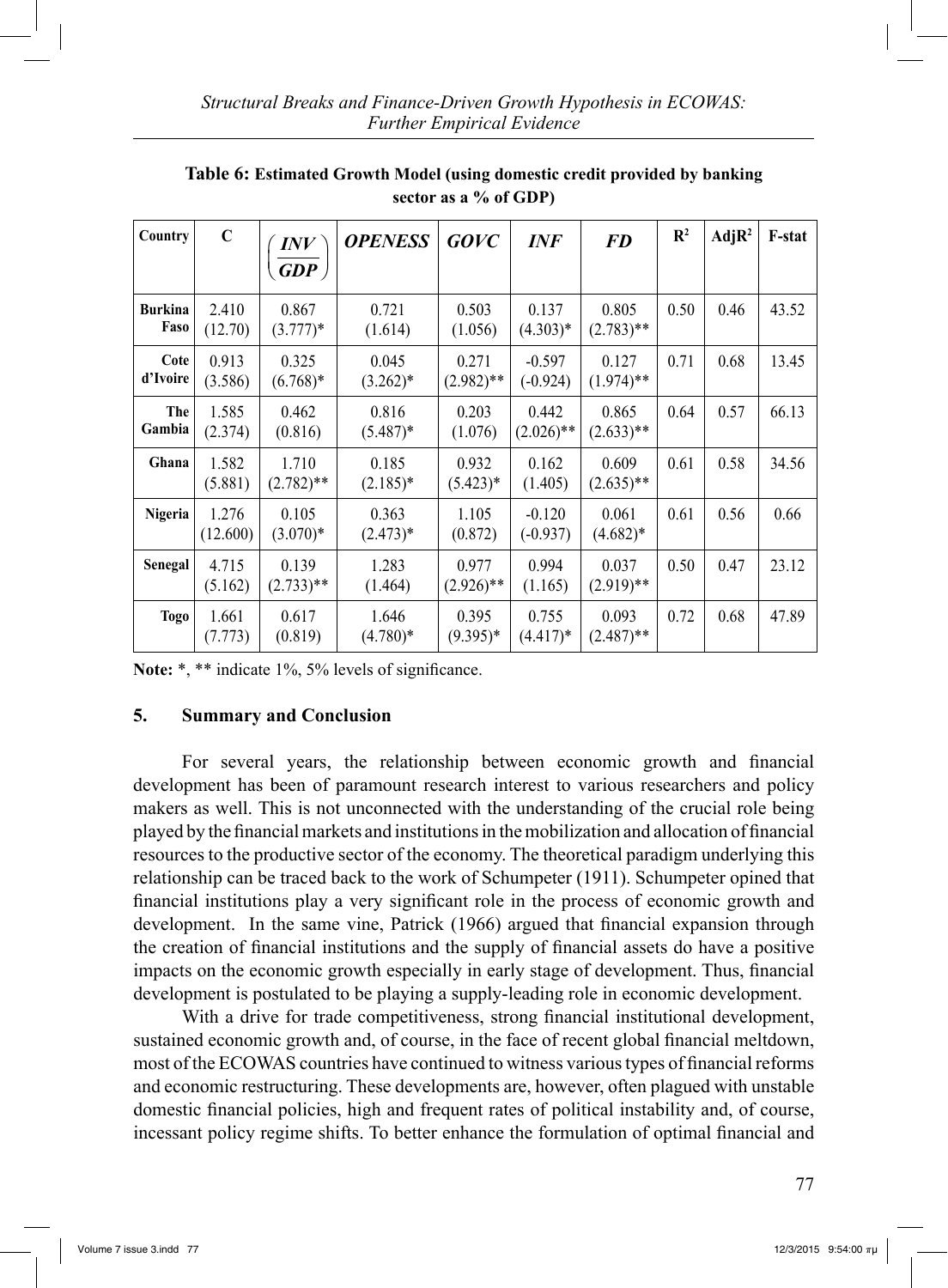| Country                | $\mathbf C$       | INV<br>$\overline{\textit{GDP}}$ | <b>OPENESS</b>       | <b>GOVC</b>           | <i>INF</i>             | <b>FD</b>             | $\mathbb{R}^2$ | AdjR <sup>2</sup> | F-stat |
|------------------------|-------------------|----------------------------------|----------------------|-----------------------|------------------------|-----------------------|----------------|-------------------|--------|
|                        |                   |                                  |                      |                       |                        |                       |                |                   |        |
| <b>Burkina</b><br>Faso | 2.410<br>(12.70)  | 0.867<br>$(3.777)*$              | 0.721<br>(1.614)     | 0.503<br>(1.056)      | 0.137<br>$(4.303)*$    | 0.805<br>$(2.783)**$  | 0.50           | 0.46              | 43.52  |
| Cote<br>d'Ivoire       | 0.913<br>(3.586)  | 0.325<br>$(6.768)*$              | 0.045<br>$(3.262)^*$ | 0.271<br>$(2.982)$ ** | $-0.597$<br>$(-0.924)$ | 0.127<br>$(1.974)$ ** | 0.71           | 0.68              | 13.45  |
| The<br>Gambia          | 1.585<br>(2.374)  | 0.462<br>(0.816)                 | 0.816<br>$(5.487)^*$ | 0.203<br>(1.076)      | 0.442<br>$(2.026)$ **  | 0.865<br>$(2.633)**$  | 0.64           | 0.57              | 66.13  |
| Ghana                  | 1.582<br>(5.881)  | 1.710<br>$(2.782)$ **            | 0.185<br>$(2.185)^*$ | 0.932<br>$(5.423)*$   | 0.162<br>(1.405)       | 0.609<br>$(2.635)$ ** | 0.61           | 0.58              | 34.56  |
| Nigeria                | 1.276<br>(12.600) | 0.105<br>$(3.070)*$              | 0.363<br>$(2.473)*$  | 1.105<br>(0.872)      | $-0.120$<br>$(-0.937)$ | 0.061<br>$(4.682)*$   | 0.61           | 0.56              | 0.66   |
| <b>Senegal</b>         | 4.715<br>(5.162)  | 0.139<br>$(2.733)$ **            | 1.283<br>(1.464)     | 0.977<br>$(2.926)$ ** | 0.994<br>(1.165)       | 0.037<br>$(2.919)$ ** | 0.50           | 0.47              | 23.12  |
| <b>Togo</b>            | 1.661<br>(7.773)  | 0.617<br>(0.819)                 | 1.646<br>$(4.780)*$  | 0.395<br>$(9.395)*$   | 0.755<br>$(4.417)^*$   | 0.093<br>$(2.487)$ ** | 0.72           | 0.68              | 47.89  |

**Table 6: Estimated Growth Model (using domestic credit provided by banking sector as a % of GDP)** 

Note: \*, \*\* indicate 1%, 5% levels of significance.

### **5. Summary and Conclusion**

 For several years, the relationship between economic growth and financial development has been of paramount research interest to various researchers and policy makers as well. This is not unconnected with the understanding of the crucial role being played by the financial markets and institutions in the mobilization and allocation of financial resources to the productive sector of the economy. The theoretical paradigm underlying this relationship can be traced back to the work of Schumpeter (1911). Schumpeter opined that financial institutions play a very significant role in the process of economic growth and development. In the same vine, Patrick (1966) argued that financial expansion through the creation of financial institutions and the supply of financial assets do have a positive impacts on the economic growth especially in early stage of development. Thus, financial development is postulated to be playing a supply-leading role in economic development.

With a drive for trade competitiveness, strong financial institutional development, sustained economic growth and, of course, in the face of recent global financial meltdown, most of the ECOWAS countries have continued to witness various types of financial reforms and economic restructuring. These developments are, however, often plagued with unstable domestic financial policies, high and frequent rates of political instability and, of course, incessant policy regime shifts. To better enhance the formulation of optimal financial and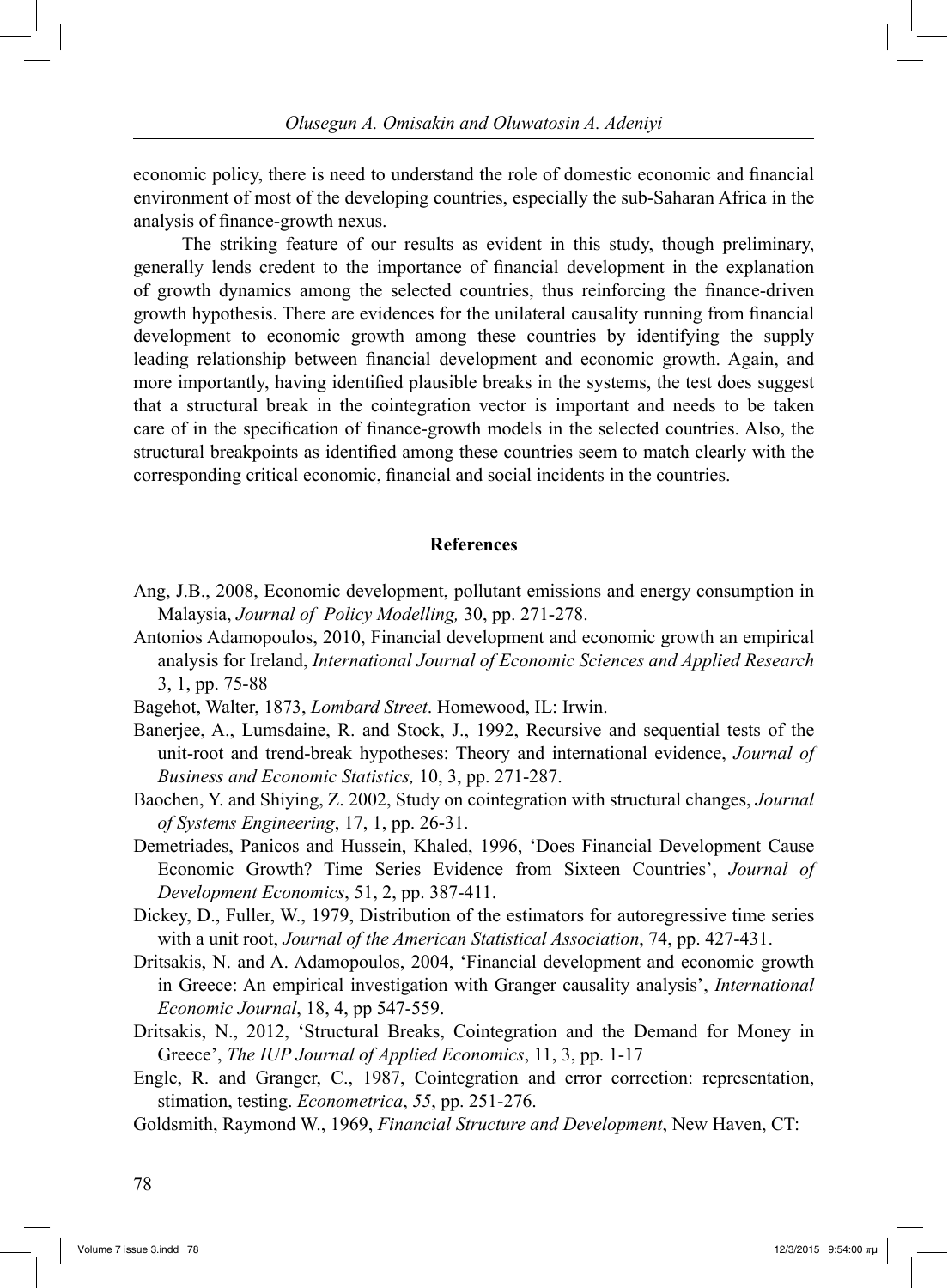economic policy, there is need to understand the role of domestic economic and financial environment of most of the developing countries, especially the sub-Saharan Africa in the analysis of finance-growth nexus.

 The striking feature of our results as evident in this study, though preliminary, generally lends credent to the importance of financial development in the explanation of growth dynamics among the selected countries, thus reinforcing the finance-driven growth hypothesis. There are evidences for the unilateral causality running from financial development to economic growth among these countries by identifying the supply leading relationship between financial development and economic growth. Again, and more importantly, having identified plausible breaks in the systems, the test does suggest that a structural break in the cointegration vector is important and needs to be taken care of in the specification of finance-growth models in the selected countries. Also, the structural breakpoints as identified among these countries seem to match clearly with the corresponding critical economic, financial and social incidents in the countries.

### **References**

- Ang, J.B., 2008, Economic development, pollutant emissions and energy consumption in Malaysia, *Journal of Policy Modelling,* 30, pp. 271-278.
- Antonios Adamopoulos, 2010, Financial development and economic growth an empirical analysis for Ireland, *International Journal of Economic Sciences and Applied Research* 3, 1, pp. 75-88
- Bagehot, Walter, 1873, *Lombard Street*. Homewood, IL: Irwin.
- Banerjee, A., Lumsdaine, R. and Stock, J., 1992, Recursive and sequential tests of the unit-root and trend-break hypotheses: Theory and international evidence, *Journal of Business and Economic Statistics,* 10, 3, pp. 271-287.
- Baochen, Y. and Shiying, Z. 2002, Study on cointegration with structural changes, *Journal of Systems Engineering*, 17, 1, pp. 26-31.
- Demetriades, Panicos and Hussein, Khaled, 1996, 'Does Financial Development Cause Economic Growth? Time Series Evidence from Sixteen Countries', *Journal of Development Economics*, 51, 2, pp. 387-411.
- Dickey, D., Fuller, W., 1979, Distribution of the estimators for autoregressive time series with a unit root, *Journal of the American Statistical Association*, 74, pp. 427-431.
- Dritsakis, N. and A. Adamopoulos, 2004, 'Financial development and economic growth in Greece: An empirical investigation with Granger causality analysis', *International Economic Journal*, 18, 4, pp 547-559.
- Dritsakis, N., 2012, 'Structural Breaks, Cointegration and the Demand for Money in Greece', *The IUP Journal of Applied Economics*, 11, 3, pp. 1-17
- Engle, R. and Granger, C., 1987, Cointegration and error correction: representation, stimation, testing. *Econometrica*, *55*, pp. 251-276.
- Goldsmith, Raymond W., 1969, *Financial Structure and Development*, New Haven, CT: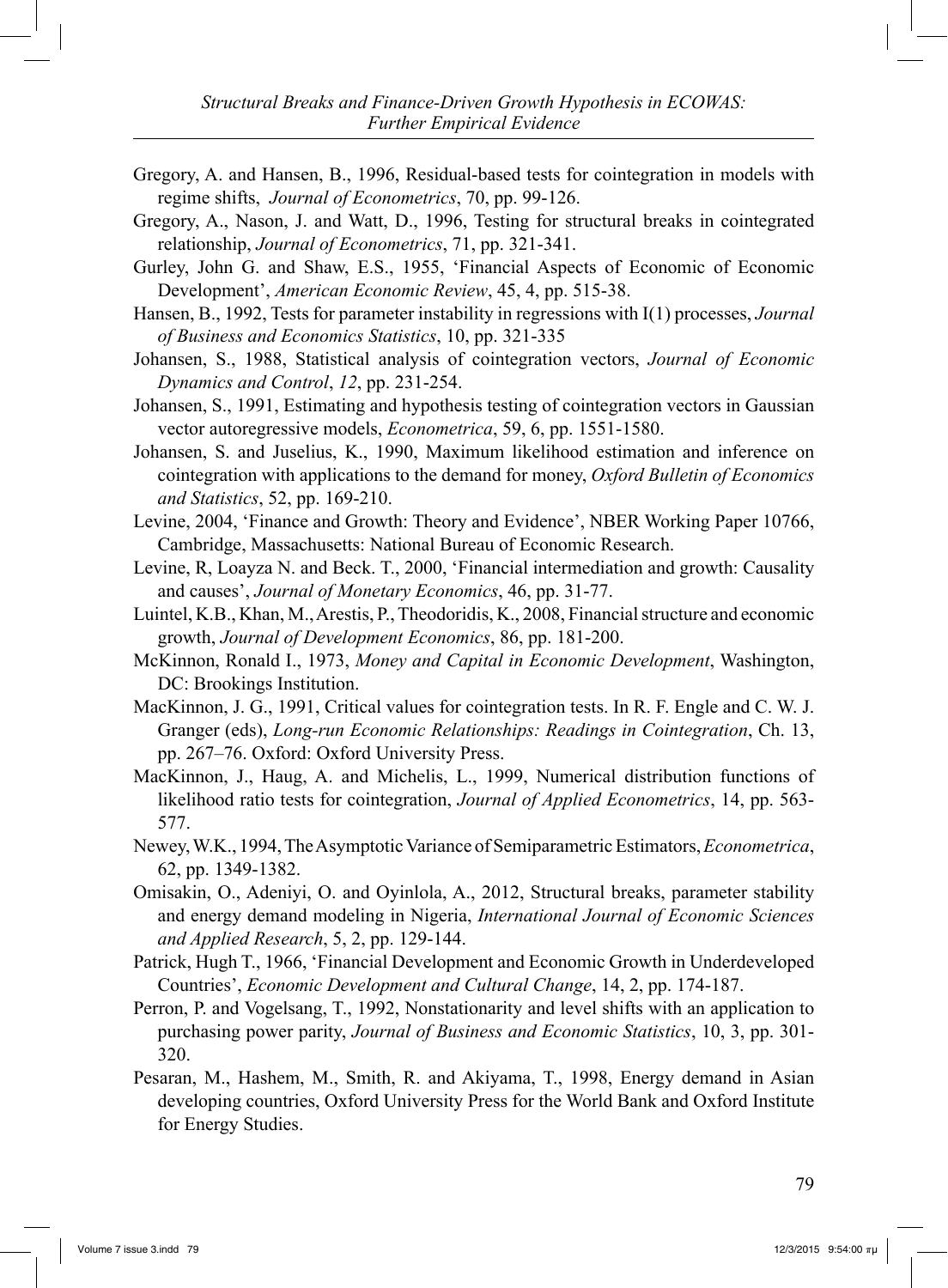- Gregory, A. and Hansen, B., 1996, Residual-based tests for cointegration in models with regime shifts, *Journal of Econometrics*, 70, pp. 99-126.
- Gregory, A., Nason, J. and Watt, D., 1996, Testing for structural breaks in cointegrated relationship, *Journal of Econometrics*, 71, pp. 321-341.
- Gurley, John G. and Shaw, E.S., 1955, 'Financial Aspects of Economic of Economic Development', *American Economic Review*, 45, 4, pp. 515-38.
- Hansen, B., 1992, Tests for parameter instability in regressions with I(1) processes, *Journal of Business and Economics Statistics*, 10, pp. 321-335
- Johansen, S., 1988, Statistical analysis of cointegration vectors, *Journal of Economic Dynamics and Control*, *12*, pp. 231-254.
- Johansen, S., 1991, Estimating and hypothesis testing of cointegration vectors in Gaussian vector autoregressive models, *Econometrica*, 59, 6, pp. 1551-1580.
- Johansen, S. and Juselius, K., 1990, Maximum likelihood estimation and inference on cointegration with applications to the demand for money, *Oxford Bulletin of Economics and Statistics*, 52, pp. 169-210.
- Levine, 2004, 'Finance and Growth: Theory and Evidence', NBER Working Paper 10766, Cambridge, Massachusetts: National Bureau of Economic Research.
- Levine, R, Loayza N. and Beck. T., 2000, 'Financial intermediation and growth: Causality and causes', *Journal of Monetary Economics*, 46, pp. 31-77.
- Luintel, K.B., Khan, M., Arestis, P., Theodoridis, K., 2008, Financial structure and economic growth, *Journal of Development Economics*, 86, pp. 181-200.
- McKinnon, Ronald I., 1973, *Money and Capital in Economic Development*, Washington, DC: Brookings Institution.
- MacKinnon, J. G., 1991, Critical values for cointegration tests. In R. F. Engle and C. W. J. Granger (eds), *Long-run Economic Relationships: Readings in Cointegration*, Ch. 13, pp. 267–76. Oxford: Oxford University Press.
- MacKinnon, J., Haug, A. and Michelis, L., 1999, Numerical distribution functions of likelihood ratio tests for cointegration, *Journal of Applied Econometrics*, 14, pp. 563- 577.
- Newey, W.K., 1994, The Asymptotic Variance of Semiparametric Estimators, *Econometrica*, 62, pp. 1349-1382.
- Omisakin, O., Adeniyi, O. and Oyinlola, A., 2012, Structural breaks, parameter stability and energy demand modeling in Nigeria, *International Journal of Economic Sciences and Applied Research*, 5, 2, pp. 129-144.
- Patrick, Hugh T., 1966, 'Financial Development and Economic Growth in Underdeveloped Countries', *Economic Development and Cultural Change*, 14, 2, pp. 174-187.
- Perron, P. and Vogelsang, T., 1992, Nonstationarity and level shifts with an application to purchasing power parity, *Journal of Business and Economic Statistics*, 10, 3, pp. 301- 320.
- Pesaran, M., Hashem, M., Smith, R. and Akiyama, T., 1998, Energy demand in Asian developing countries, Oxford University Press for the World Bank and Oxford Institute for Energy Studies.